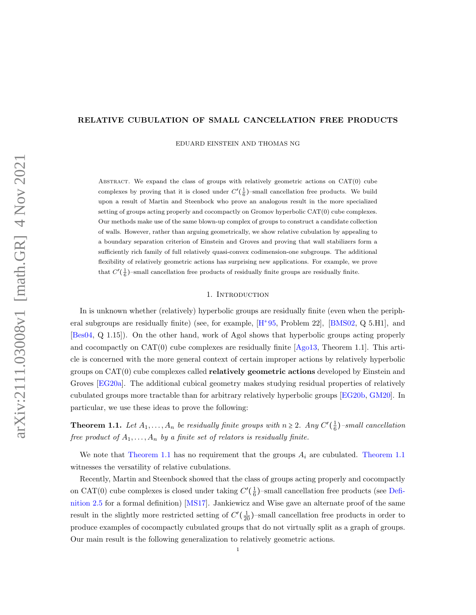## RELATIVE CUBULATION OF SMALL CANCELLATION FREE PRODUCTS

EDUARD EINSTEIN AND THOMAS NG

ABSTRACT. We expand the class of groups with relatively geometric actions on  $CAT(0)$  cube complexes by proving that it is closed under  $C'(\frac{1}{6})$ -small cancellation free products. We build upon a result of Martin and Steenbock who prove an analogous result in the more specialized setting of groups acting properly and cocompactly on Gromov hyperbolic CAT(0) cube complexes. Our methods make use of the same blown-up complex of groups to construct a candidate collection of walls. However, rather than arguing geometrically, we show relative cubulation by appealing to a boundary separation criterion of Einstein and Groves and proving that wall stabilizers form a sufficiently rich family of full relatively quasi-convex codimension-one subgroups. The additional flexibility of relatively geometric actions has surprising new applications. For example, we prove that  $C'(\frac{1}{6})$ -small cancellation free products of residually finite groups are residually finite.

### 1. INTRODUCTION

In is unknown whether (relatively) hyperbolic groups are residually finite (even when the peripheral subgroups are residually finite) (see, for example,  $[H^+95, Problem 22]$  $[H^+95, Problem 22]$  $[H^+95, Problem 22]$ , [\[BMS02,](#page-32-0) Q 5.H1], and [\[Bes04,](#page-32-1) Q 1.15]). On the other hand, work of Agol shows that hyperbolic groups acting properly and cocompactly on CAT(0) cube complexes are residually finite [\[Ago13,](#page-32-2) Theorem 1.1]. This article is concerned with the more general context of certain improper actions by relatively hyperbolic groups on CAT(0) cube complexes called relatively geometric actions developed by Einstein and Groves [\[EG20a\]](#page-33-1). The additional cubical geometry makes studying residual properties of relatively cubulated groups more tractable than for arbitrary relatively hyperbolic groups [\[EG20b,](#page-33-2) [GM20\]](#page-33-3). In particular, we use these ideas to prove the following:

<span id="page-0-0"></span>**Theorem 1.1.** Let  $A_1, \ldots, A_n$  be residually finite groups with  $n \geq 2$ . Any  $C'(\frac{1}{6})$ -small cancellation free product of  $A_1, \ldots, A_n$  by a finite set of relators is residually finite.

We note that [Theorem 1.1](#page-0-0) has no requirement that the groups  $A_i$  are cubulated. Theorem 1.1 witnesses the versatility of relative cubulations.

<span id="page-0-1"></span>Recently, Martin and Steenbock showed that the class of groups acting properly and cocompactly on CAT(0) cube complexes is closed under taking  $C'(\frac{1}{6})$ -small cancellation free products (see [Defi](#page-5-0)[nition 2.5](#page-5-0) for a formal definition) [\[MS17\]](#page-34-0). Jankiewicz and Wise gave an alternate proof of the same result in the slightly more restricted setting of  $C'(\frac{1}{20})$ -small cancellation free products in order to produce examples of cocompactly cubulated groups that do not virtually split as a graph of groups. Our main result is the following generalization to relatively geometric actions.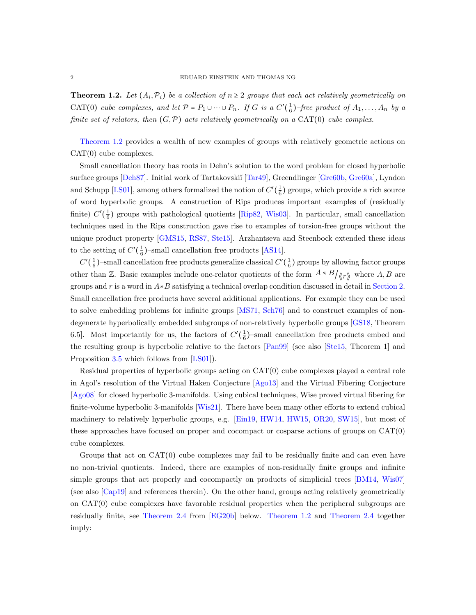**Theorem 1.2.** Let  $(A_i, \mathcal{P}_i)$  be a collection of  $n \geq 2$  groups that each act relatively geometrically on CAT(0) cube complexes, and let  $\mathcal{P} = P_1 \cup \cdots \cup P_n$ . If G is a  $C'(\frac{1}{6})$ -free product of  $A_1, \ldots, A_n$  by a finite set of relators, then  $(G, \mathcal{P})$  acts relatively geometrically on a CAT(0) cube complex.

[Theorem 1.2](#page-0-1) provides a wealth of new examples of groups with relatively geometric actions on CAT(0) cube complexes.

Small cancellation theory has roots in Dehn's solution to the word problem for closed hyperbolic surface groups [\[Deh87\]](#page-33-4). Initial work of Tartakovskiĭ [\[Tar49\]](#page-34-1), Greendlinger [\[Gre60b,](#page-33-5) [Gre60a\]](#page-33-6), Lyndon and Schupp [\[LS01\]](#page-33-7), among others formalized the notion of  $C'(\frac{1}{6})$  groups, which provide a rich source of word hyperbolic groups. A construction of Rips produces important examples of (residually finite)  $C'(\frac{1}{6})$  groups with pathological quotients [\[Rip82,](#page-34-2) [Wis03\]](#page-34-3). In particular, small cancellation techniques used in the Rips construction gave rise to examples of torsion-free groups without the unique product property [\[GMS15,](#page-33-8) [RS87,](#page-34-4) [Ste15\]](#page-34-5). Arzhantseva and Steenbock extended these ideas to the setting of  $C'(\frac{1}{6})$ -small cancellation free products [\[AS14\]](#page-32-3).

 $C'(\frac{1}{6})$ -small cancellation free products generalize classical  $C'(\frac{1}{6})$  groups by allowing factor groups other than Z. Basic examples include one-relator quotients of the form  $A * B / \langle r \rangle$  where A, B are groups and r is a word in  $A*B$  satisfying a technical overlap condition discussed in detail in [Section 2.](#page-3-0) Small cancellation free products have several additional applications. For example they can be used to solve embedding problems for infinite groups [\[MS71,](#page-34-6) [Sch76\]](#page-34-7) and to construct examples of nondegenerate hyperbolically embedded subgroups of non-relatively hyperbolic groups [\[GS18,](#page-33-9) Theorem 6.5. Most importantly for us, the factors of  $C'(\frac{1}{6})$ -small cancellation free products embed and the resulting group is hyperbolic relative to the factors [\[Pan99\]](#page-34-8) (see also [\[Ste15,](#page-34-5) Theorem 1] and Proposition [3.5](#page-8-0) which follows from [\[LS01\]](#page-33-7)).

Residual properties of hyperbolic groups acting on CAT(0) cube complexes played a central role in Agol's resolution of the Virtual Haken Conjecture [\[Ago13\]](#page-32-2) and the Virtual Fibering Conjecture [\[Ago08\]](#page-32-4) for closed hyperbolic 3-manifolds. Using cubical techniques, Wise proved virtual fibering for finite-volume hyperbolic 3-manifolds [\[Wis21\]](#page-34-9). There have been many other efforts to extend cubical machinery to relatively hyperbolic groups, e.g. [\[Ein19,](#page-33-10) [HW14,](#page-33-11) [HW15,](#page-33-12) [OR20,](#page-34-10) [SW15\]](#page-34-11), but most of these approaches have focused on proper and cocompact or cosparse actions of groups on CAT(0) cube complexes.

<span id="page-1-0"></span>Groups that act on  $CAT(0)$  cube complexes may fail to be residually finite and can even have no non-trivial quotients. Indeed, there are examples of non-residually finite groups and infinite simple groups that act properly and cocompactly on products of simplicial trees [\[BM14,](#page-32-5) [Wis07\]](#page-34-12) (see also [\[Cap19\]](#page-33-13) and references therein). On the other hand, groups acting relatively geometrically on CAT(0) cube complexes have favorable residual properties when the peripheral subgroups are residually finite, see [Theorem 2.4](#page-4-0) from [\[EG20b\]](#page-33-2) below. [Theorem 1.2](#page-0-1) and [Theorem 2.4](#page-4-0) together imply: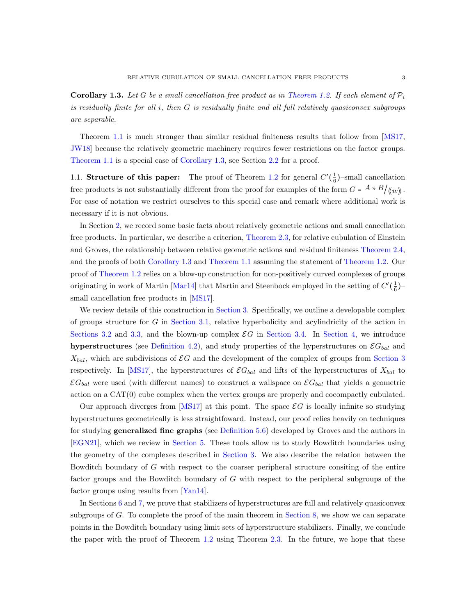**Corollary 1.3.** Let G be a small cancellation free product as in [Theorem 1.2.](#page-0-1) If each element of  $\mathcal{P}_i$ is residually finite for all i, then G is residually finite and all full relatively quasiconvex subgroups are separable.

Theorem [1.1](#page-0-0) is much stronger than similar residual finiteness results that follow from [\[MS17,](#page-34-0) [JW18\]](#page-33-14) because the relatively geometric machinery requires fewer restrictions on the factor groups. [Theorem 1.1](#page-0-0) is a special case of [Corollary 1.3,](#page-1-0) see Section [2.2](#page-3-1) for a proof.

1.1. **Structure of this paper:** The proof of Theorem [1.2](#page-0-1) for general  $C'(\frac{1}{6})$ -small cancellation free products is not substantially different from the proof for examples of the form  $G = A * B/\langle w \rangle$ . For ease of notation we restrict ourselves to this special case and remark where additional work is necessary if it is not obvious.

In Section [2,](#page-3-0) we record some basic facts about relatively geometric actions and small cancellation free products. In particular, we describe a criterion, [Theorem 2.3,](#page-4-1) for relative cubulation of Einstein and Groves, the relationship between relative geometric actions and residual finiteness [Theorem 2.4,](#page-4-0) and the proofs of both [Corollary 1.3](#page-1-0) and [Theorem 1.1](#page-0-0) assuming the statement of [Theorem 1.2.](#page-0-1) Our proof of [Theorem 1.2](#page-0-1) relies on a blow-up construction for non-positively curved complexes of groups originating in work of Martin [\[Mar14\]](#page-33-15) that Martin and Steenbock employed in the setting of  $C'(\frac{1}{6})$ small cancellation free products in [\[MS17\]](#page-34-0).

We review details of this construction in [Section 3.](#page-6-0) Specifically, we outline a developable complex of groups structure for  $G$  in [Section 3.1,](#page-6-1) relative hyperbolicity and acylindricity of the action in [Sections 3.2](#page-8-1) and [3.3,](#page-9-0) and the blown-up complex  $\mathcal{E}G$  in [Section 3.4.](#page-10-0) In [Section 4,](#page-12-0) we introduce hyperstructures (see [Definition 4.2\)](#page-13-0), and study properties of the hyperstructures on  $\mathcal{E}G_{bal}$  and  $X_{bal}$ , which are subdivisions of  $\mathcal{E}G$  and the development of the complex of groups from [Section 3](#page-6-0) respectively. In [\[MS17\]](#page-34-0), the hyperstructures of  $\mathcal{E}G_{bal}$  and lifts of the hyperstructures of  $X_{bal}$  to  $\mathcal{E}G_{bal}$  were used (with different names) to construct a wallspace on  $\mathcal{E}G_{bal}$  that yields a geometric action on a CAT(0) cube complex when the vertex groups are properly and cocompactly cubulated.

Our approach diverges from  $[MS17]$  at this point. The space  $\mathcal{E}G$  is locally infinite so studying hyperstructures geometrically is less straightfoward. Instead, our proof relies heavily on techniques for studying generalized fine graphs (see [Definition 5.6\)](#page-17-0) developed by Groves and the authors in [\[EGN21\]](#page-33-16), which we review in [Section 5.](#page-16-0) These tools allow us to study Bowditch boundaries using the geometry of the complexes described in [Section 3.](#page-6-0) We also describe the relation between the Bowditch boundary of G with respect to the coarser peripheral structure consiting of the entire factor groups and the Bowditch boundary of G with respect to the peripheral subgroups of the factor groups using results from [\[Yan14\]](#page-34-13).

In Sections [6](#page-18-0) and [7,](#page-21-0) we prove that stabilizers of hyperstructures are full and relatively quasiconvex subgroups of G. To complete the proof of the main theorem in [Section 8,](#page-22-0) we show we can separate points in the Bowditch boundary using limit sets of hyperstructure stabilizers. Finally, we conclude the paper with the proof of Theorem [1.2](#page-0-1) using Theorem [2.3.](#page-4-1) In the future, we hope that these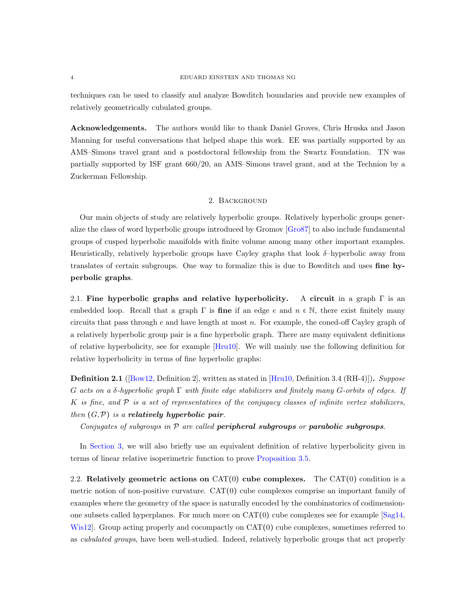techniques can be used to classify and analyze Bowditch boundaries and provide new examples of relatively geometrically cubulated groups.

Acknowledgements. The authors would like to thank Daniel Groves, Chris Hruska and Jason Manning for useful conversations that helped shape this work. EE was partially supported by an AMS–Simons travel grant and a postdoctoral fellowship from the Swartz Foundation. TN was partially supported by ISF grant 660/20, an AMS–Simons travel grant, and at the Technion by a Zuckerman Fellowship.

## 2. Background

<span id="page-3-0"></span>Our main objects of study are relatively hyperbolic groups. Relatively hyperbolic groups generalize the class of word hyperbolic groups introduced by Gromov [\[Gro87\]](#page-33-17) to also include fundamental groups of cusped hyperbolic manifolds with finite volume among many other important examples. Heuristically, relatively hyperbolic groups have Cayley graphs that look  $\delta$ -hyperbolic away from translates of certain subgroups. One way to formalize this is due to Bowditch and uses fine hyperbolic graphs.

2.1. Fine hyperbolic graphs and relative hyperbolicity. A circuit in a graph  $\Gamma$  is an embedded loop. Recall that a graph  $\Gamma$  is **fine** if an edge e and  $n \in \mathbb{N}$ , there exist finitely many circuits that pass through  $e$  and have length at most  $n$ . For example, the coned-off Cayley graph of a relatively hyperbolic group pair is a fine hyperbolic graph. There are many equivalent definitions of relative hyperbolicity, see for example [\[Hru10\]](#page-33-18). We will mainly use the following definition for relative hyperbolicity in terms of fine hyperbolic graphs:

<span id="page-3-2"></span>**Definition 2.1** ( $[Box12, Definition2]$ , written as stated in  $[Hru10, Definition3.4 (RH-4)]$ ). Suppose G acts on a δ-hyperbolic graph  $\Gamma$  with finite edge stabilizers and finitely many G-orbits of edges. If K is fine, and  $P$  is a set of representatives of the conjugacy classes of infinite vertex stabilizers, then  $(G, \mathcal{P})$  is a **relatively hyperbolic pair**.

Conjugates of subgroups in  $P$  are called **peripheral subgroups** or **parabolic subgroups**.

In [Section 3,](#page-6-0) we will also briefly use an equivalent definition of relative hyperbolicity given in terms of linear relative isoperimetric function to prove [Proposition 3.5.](#page-8-0)

<span id="page-3-1"></span>2.2. Relatively geometric actions on  $CAT(0)$  cube complexes. The  $CAT(0)$  condition is a metric notion of non-positive curvature. CAT(0) cube complexes comprise an important family of examples where the geometry of the space is naturally encoded by the combinatorics of codimensionone subsets called hyperplanes. For much more on  $CAT(0)$  cube complexes see for example  $[Sag14]$ , Wis12. Group acting properly and cocompactly on CAT(0) cube complexes, sometimes referred to as cubulated groups, have been well-studied. Indeed, relatively hyperbolic groups that act properly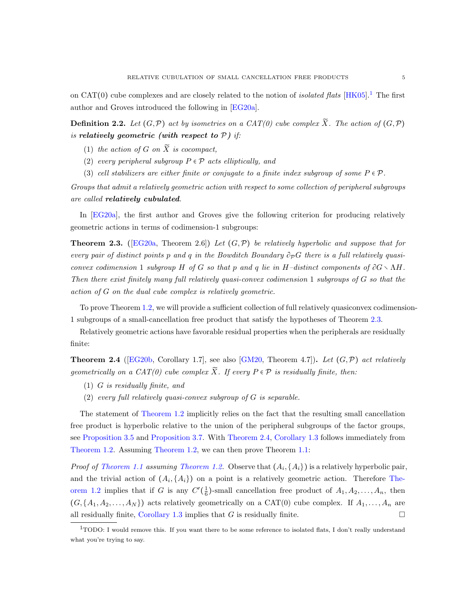on CAT(0) cube complexes and are closely related to the notion of *isolated flats* [\[HK05\]](#page-33-20).<sup>[1](#page-4-2)</sup> The first author and Groves introduced the following in [\[EG20a\]](#page-33-1).

**Definition 2.2.** Let  $(G, \mathcal{P})$  act by isometries on a CAT(0) cube complex  $\widetilde{X}$ . The action of  $(G, \mathcal{P})$ is relatively geometric (with respect to  $P$ ) if:

- (1) the action of G on  $\widetilde{X}$  is cocompact,
- (2) every peripheral subgroup  $P \in \mathcal{P}$  acts elliptically, and
- (3) cell stabilizers are either finite or conjugate to a finite index subgroup of some  $P \in \mathcal{P}$ .

Groups that admit a relatively geometric action with respect to some collection of peripheral subgroups are called relatively cubulated.

In [\[EG20a\]](#page-33-1), the first author and Groves give the following criterion for producing relatively geometric actions in terms of codimension-1 subgroups:

<span id="page-4-1"></span>**Theorem 2.3.** ([\[EG20a,](#page-33-1) Theorem 2.6]) Let  $(G,\mathcal{P})$  be relatively hyperbolic and suppose that for every pair of distinct points p and q in the Bowditch Boundary  $\partial_{\mathcal{P}}G$  there is a full relatively quasiconvex codimension 1 subgroup H of G so that p and q lie in H–distinct components of  $\partial G \setminus \Lambda H$ . Then there exist finitely many full relatively quasi-convex codimension 1 subgroups of G so that the action of G on the dual cube complex is relatively geometric.

To prove Theorem [1.2,](#page-0-1) we will provide a sufficient collection of full relatively quasiconvex codimension-1 subgroups of a small-cancellation free product that satisfy the hypotheses of Theorem [2.3.](#page-4-1)

Relatively geometric actions have favorable residual properties when the peripherals are residually finite:

<span id="page-4-0"></span>**Theorem 2.4** ([\[EG20b,](#page-33-2) Corollary 1.7], see also [\[GM20,](#page-33-3) Theorem 4.7]). Let  $(G, \mathcal{P})$  act relatively geometrically on a CAT(0) cube complex  $\widetilde{X}$ . If every  $P \in \mathcal{P}$  is residually finite, then:

- (1) G is residually finite, and
- (2) every full relatively quasi-convex subgroup of G is separable.

The statement of [Theorem 1.2](#page-0-1) implicitly relies on the fact that the resulting small cancellation free product is hyperbolic relative to the union of the peripheral subgroups of the factor groups, see [Proposition 3.5](#page-8-0) and [Proposition 3.7.](#page-9-1) With [Theorem 2.4,](#page-4-0) [Corollary 1.3](#page-1-0) follows immediately from [Theorem 1.2.](#page-0-1) Assuming [Theorem 1.2,](#page-0-1) we can then prove Theorem [1.1:](#page-0-0)

*Proof of [Theorem 1.1](#page-0-0) assuming [Theorem 1.2.](#page-0-1)* Observe that  $(A_i, \{A_i\})$  is a relatively hyperbolic pair, and the trivial action of  $(A_i, \{A_i\})$  on a point is a relatively geometric action. Therefore [The](#page-0-1)[orem 1.2](#page-0-1) implies that if G is any  $C'(\frac{1}{6})$ -small cancellation free product of  $A_1, A_2, \ldots, A_n$ , then  $(G, \{A_1, A_2, \ldots, A_N\})$  acts relatively geometrically on a CAT(0) cube complex. If  $A_1, \ldots, A_n$  are all residually finite, [Corollary 1.3](#page-1-0) implies that G is residually finite.

<span id="page-4-2"></span><sup>&</sup>lt;sup>1</sup>TODO: I would remove this. If you want there to be some reference to isolated flats, I don't really understand what you're trying to say.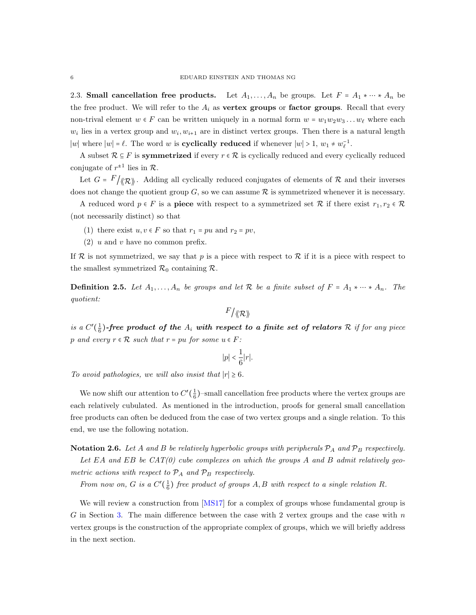<span id="page-5-1"></span>2.3. Small cancellation free products. Let  $A_1, \ldots, A_n$  be groups. Let  $F = A_1 * \cdots * A_n$  be the free product. We will refer to the  $A_i$  as vertex groups or factor groups. Recall that every non-trival element  $w \in F$  can be written uniquely in a normal form  $w = w_1w_2w_3 \ldots w_\ell$  where each  $w_i$  lies in a vertex group and  $w_i, w_{i+1}$  are in distinct vertex groups. Then there is a natural length |w| where  $|w| = \ell$ . The word w is **cyclically reduced** if whenever  $|w| > 1$ ,  $w_1 \neq w_{\ell}^{-1}$ .

A subset  $\mathcal{R} \subseteq F$  is symmetrized if every  $r \in \mathcal{R}$  is cyclically reduced and every cyclically reduced conjugate of  $r^{\pm 1}$  lies in  $\mathcal{R}$ .

Let  $G = F/\langle \mathcal{R} \rangle$ . Adding all cyclically reduced conjugates of elements of  $\mathcal{R}$  and their inverses does not change the quotient group  $G$ , so we can assume  $R$  is symmetrized whenever it is necessary.

A reduced word  $p \in F$  is a **piece** with respect to a symmetrized set R if there exist  $r_1, r_2 \in \mathcal{R}$ (not necessarily distinct) so that

- (1) there exist  $u, v \in F$  so that  $r_1 = pu$  and  $r_2 = pv$ ,
- $(2)$  u and v have no common prefix.

If  $\mathcal R$  is not symmetrized, we say that p is a piece with respect to  $\mathcal R$  if it is a piece with respect to the smallest symmetrized  $\mathcal{R}_0$  containing  $\mathcal{R}$ .

<span id="page-5-0"></span>**Definition 2.5.** Let  $A_1, \ldots, A_n$  be groups and let R be a finite subset of  $F = A_1 * \cdots * A_n$ . The quotient:

$$
^{F}/\langle\!\langle\mathcal{R}\rangle\!\rangle
$$

is a  $C'(\frac{1}{6})$ -free product of the  $A_i$  with respect to a finite set of relators R if for any piece p and every  $r \in \mathcal{R}$  such that  $r = pu$  for some  $u \in F$ :

$$
|p|<\frac{1}{6}|r|.
$$

To avoid pathologies, we will also insist that  $|r| \geq 6$ .

We now shift our attention to  $C'(\frac{1}{6})$ -small cancellation free products where the vertex groups are each relatively cubulated. As mentioned in the introduction, proofs for general small cancellation free products can often be deduced from the case of two vertex groups and a single relation. To this end, we use the following notation.

**Notation 2.6.** Let A and B be relatively hyperbolic groups with peripherals  $P_A$  and  $P_B$  respectively. Let EA and EB be  $CAT(0)$  cube complexes on which the groups A and B admit relatively geometric actions with respect to  $\mathcal{P}_A$  and  $\mathcal{P}_B$  respectively.

From now on, G is a  $C'(\frac{1}{6})$  free product of groups A, B with respect to a single relation R.

We will review a construction from [\[MS17\]](#page-34-0) for a complex of groups whose fundamental group is G in Section [3.](#page-6-0) The main difference between the case with 2 vertex groups and the case with  $n$ vertex groups is the construction of the appropriate complex of groups, which we will briefly address in the next section.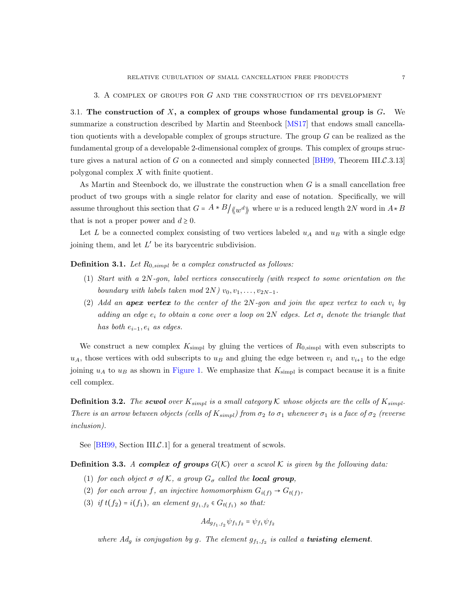#### 3. A complex of groups for G and the construction of its development

<span id="page-6-1"></span><span id="page-6-0"></span>3.1. The construction of X, a complex of groups whose fundamental group is  $G$ . We summarize a construction described by Martin and Steenbock [\[MS17\]](#page-34-0) that endows small cancellation quotients with a developable complex of groups structure. The group  $G$  can be realized as the fundamental group of a developable 2-dimensional complex of groups. This complex of groups structure gives a natural action of G on a connected and simply connected  $[BH99,$  Theorem III.C.3.13] polygonal complex X with finite quotient.

As Martin and Steenbock do, we illustrate the construction when  $G$  is a small cancellation free product of two groups with a single relator for clarity and ease of notation. Specifically, we will assume throughout this section that  $G = A * B / \langle w^d \rangle$  where w is a reduced length 2N word in  $A * B$ that is not a proper power and  $d \geq 0$ .

Let L be a connected complex consisting of two vertices labeled  $u_A$  and  $u_B$  with a single edge joining them, and let  $L'$  be its barycentric subdivision.

<span id="page-6-2"></span>**Definition 3.1.** Let  $R_{0,simpl}$  be a complex constructed as follows:

- (1) Start with a 2N-gon, label vertices consecutively (with respect to some orientation on the boundary with labels taken mod  $2N$ )  $v_0, v_1, \ldots, v_{2N-1}$ .
- (2) Add an **apex vertex** to the center of the  $2N$ -gon and join the apex vertex to each  $v_i$  by adding an edge  $e_i$  to obtain a cone over a loop on 2N edges. Let  $\sigma_i$  denote the triangle that has both  $e_{i-1}, e_i$  as edges.

We construct a new complex  $K_{\text{simpl}}$  by gluing the vertices of  $R_{0,\text{simpl}}$  with even subscripts to  $u_A$ , those vertices with odd subscripts to  $u_B$  and gluing the edge between  $v_i$  and  $v_{i+1}$  to the edge joining  $u_A$  to  $u_B$  as shown in [Figure 1.](#page-7-0) We emphasize that  $K_{\text{simp}}$  is compact because it is a finite cell complex.

**Definition 3.2.** The scwol over  $K_{simpl}$  is a small category K whose objects are the cells of  $K_{simpl}$ . There is an arrow between objects (cells of  $K_{simpl}$ ) from  $\sigma_2$  to  $\sigma_1$  whenever  $\sigma_1$  is a face of  $\sigma_2$  (reverse inclusion).

See [\[BH99,](#page-32-6) Section III.C.1] for a general treatment of scwols.

**Definition 3.3.** A complex of groups  $G(K)$  over a scwol K is given by the following data:

- (1) for each object  $\sigma$  of K, a group  $G_{\sigma}$  called the **local group**,
- (2) for each arrow f, an injective homomorphism  $G_{i(f)} \to G_{t(f)}$ ,
- (3) if  $t(f_2) = i(f_1)$ , an element  $g_{f_1,f_2} \in G_{t(f_1)}$  so that:

$$
Ad_{g_{f_1,f_2}} \psi_{f_1f_2} = \psi_{f_1} \psi_{f_2}
$$

where  $Ad<sub>g</sub>$  is conjugation by g. The element  $g<sub>f<sub>1,f<sub>2</sub></sub></sub>$  is called a **twisting element**.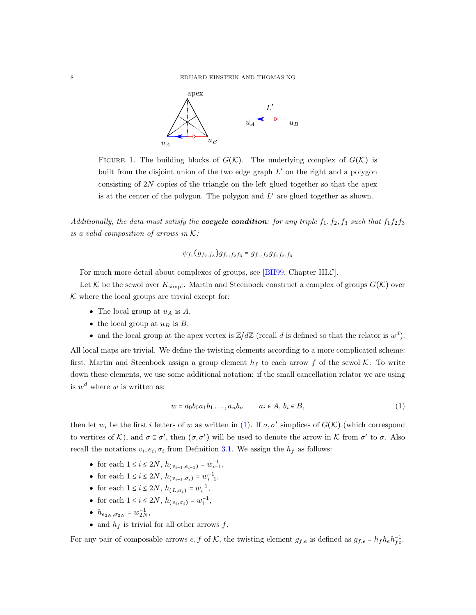

<span id="page-7-0"></span>FIGURE 1. The building blocks of  $G(\mathcal{K})$ . The underlying complex of  $G(\mathcal{K})$  is built from the disjoint union of the two edge graph  $L'$  on the right and a polygon consisting of 2N copies of the triangle on the left glued together so that the apex is at the center of the polygon. The polygon and  $L'$  are glued together as shown.

Additionally, the data must satisfy the **cocycle condition**: for any triple  $f_1, f_2, f_3$  such that  $f_1f_2f_3$ is a valid composition of arrows in  $K$ :

$$
\psi_{f_1}(g_{f_2,f_3})g_{f_1,f_2f_3} = g_{f_1,f_2}g_{f_1f_2,f_3}
$$

For much more detail about complexes of groups, see [\[BH99,](#page-32-6) Chapter III. $\mathcal{C}$ ].

Let K be the scwol over  $K_{\text{simpl}}$ . Martin and Steenbock construct a complex of groups  $G(\mathcal{K})$  over  $K$  where the local groups are trivial except for:

- The local group at  $u_A$  is  $A$ ,
- the local group at  $u_B$  is  $B$ ,
- and the local group at the apex vertex is  $\mathbb{Z}/d\mathbb{Z}$  (recall d is defined so that the relator is  $w^d$ ).

All local maps are trivial. We define the twisting elements according to a more complicated scheme: first, Martin and Steenbock assign a group element  $h_f$  to each arrow f of the scwol K. To write down these elements, we use some additional notation: if the small cancellation relator we are using is  $w^d$  where w is written as:

<span id="page-7-1"></span>
$$
w = a_0 b_0 a_1 b_1 \dots, a_n b_n \qquad a_i \in A, b_i \in B,
$$
\n
$$
(1)
$$

then let  $w_i$  be the first i letters of w as written in [\(1\)](#page-7-1). If  $\sigma$ ,  $\sigma'$  simplices of  $G(\mathcal{K})$  (which correspond to vertices of K), and  $\sigma \subseteq \sigma'$ , then  $(\sigma, \sigma')$  will be used to denote the arrow in K from  $\sigma'$  to  $\sigma$ . Also recall the notations  $v_i, e_i, \sigma_i$  from Definition [3.1.](#page-6-2) We assign the  $h_f$  as follows:

- for each  $1 \le i \le 2N$ ,  $h_{(v_{i-1}, e_{i-1})} = w_{i-1}^{-1}$ ,
- for each  $1 \le i \le 2N$ ,  $h_{(v_{i-1}, \sigma_i)} = w_{i-1}^{-1}$ ,
- for each  $1 \leq i \leq 2N$ ,  $h_{(L,\sigma_i)} = w_i^{-1}$ ,
- for each  $1 \le i \le 2N$ ,  $h_{(v_i, \sigma_i)} = w_i^{-1}$ ,
- $h_{e_{2N},\sigma_{2N}} = w_{2N}^{-1},$
- and  $h_f$  is trivial for all other arrows  $f$ .

For any pair of composable arrows  $e, f$  of  $K$ , the twisting element  $g_{f,e}$  is defined as  $g_{f,e} = h_f h_e h_{fe}^{-1}$ .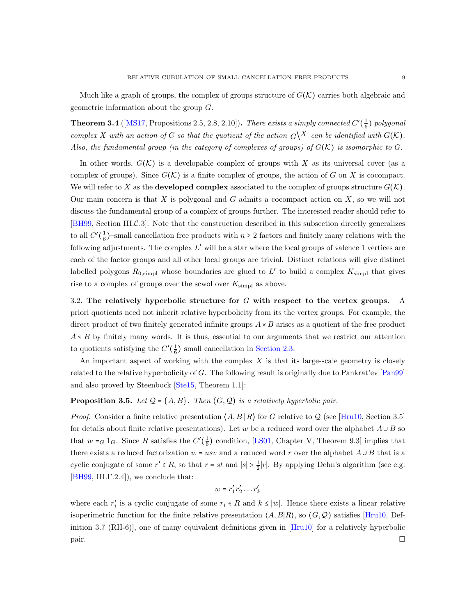Much like a graph of groups, the complex of groups structure of  $G(\mathcal{K})$  carries both algebraic and geometric information about the group G.

**Theorem 3.4** ([\[MS17,](#page-34-0) Propositions 2.5, 2.8, 2.10]). There exists a simply connected  $C'(\frac{1}{6})$  polygonal complex X with an action of G so that the quotient of the action  $\mathcal{G}^{\setminus X}$  can be identified with  $G(\mathcal{K})$ . Also, the fundamental group (in the category of complexes of groups) of  $G(\mathcal{K})$  is isomorphic to G.

In other words,  $G(\mathcal{K})$  is a developable complex of groups with X as its universal cover (as a complex of groups). Since  $G(\mathcal{K})$  is a finite complex of groups, the action of G on X is cocompact. We will refer to X as the **developed complex** associated to the complex of groups structure  $G(K)$ . Our main concern is that  $X$  is polygonal and  $G$  admits a cocompact action on  $X$ , so we will not discuss the fundamental group of a complex of groups further. The interested reader should refer to [\[BH99,](#page-32-6) Section III.C.3]. Note that the construction described in this subsection directly generalizes to all  $C'(\frac{1}{6})$ -small cancellation free products with  $n \geq 2$  factors and finitely many relations with the following adjustments. The complex  $L'$  will be a star where the local groups of valence 1 vertices are each of the factor groups and all other local groups are trivial. Distinct relations will give distinct labelled polygons  $R_{0,\text{simp}}$  whose boundaries are glued to L' to build a complex  $K_{\text{simp}}$  that gives rise to a complex of groups over the scwol over  $K_{\text{simpl}}$  as above.

<span id="page-8-1"></span>3.2. The relatively hyperbolic structure for  $G$  with respect to the vertex groups. A priori quotients need not inherit relative hyperbolicity from its the vertex groups. For example, the direct product of two finitely generated infinite groups  $A \times B$  arises as a quotient of the free product  $A * B$  by finitely many words. It is thus, essential to our arguments that we restrict our attention to quotients satisfying the  $C'(\frac{1}{6})$  small cancellation in [Section 2.3.](#page-5-1)

An important aspect of working with the complex  $X$  is that its large-scale geometry is closely related to the relative hyperbolicity of G. The following result is originally due to Pankrat'ev [\[Pan99\]](#page-34-8) and also proved by Steenbock [\[Ste15,](#page-34-5) Theorem 1.1]:

# <span id="page-8-0"></span>**Proposition 3.5.** Let  $Q = \{A, B\}$ . Then  $(G, Q)$  is a relatively hyperbolic pair.

*Proof.* Consider a finite relative presentation  $\langle A, B | R \rangle$  for G relative to Q (see [\[Hru10,](#page-33-18) Section 3.5] for details about finite relative presentations). Let w be a reduced word over the alphabet  $A \cup B$  so that  $w = G 1_G$ . Since R satisfies the  $C'(\frac{1}{6})$  condition, [\[LS01,](#page-33-7) Chapter V, Theorem 9.3] implies that there exists a reduced factorization  $w = usv$  and a reduced word r over the alphabet  $A \cup B$  that is a cyclic conjugate of some  $r' \in R$ , so that  $r = st$  and  $|s| > \frac{1}{2}|r|$ . By applying Dehn's algorithm (see e.g. [\[BH99,](#page-32-6) III.Γ.2.4]), we conclude that:

$$
w = r_1' r_2' \dots r_k'
$$

where each  $r'_i$  is a cyclic conjugate of some  $r_i \in R$  and  $k \leq |w|$ . Hence there exists a linear relative isoperimetric function for the finite relative presentation  $\langle A, B | R \rangle$ , so  $(G, \mathcal{Q})$  satisfies [\[Hru10,](#page-33-18) Definition 3.7 (RH-6)], one of many equivalent definitions given in [\[Hru10\]](#page-33-18) for a relatively hyperbolic pair.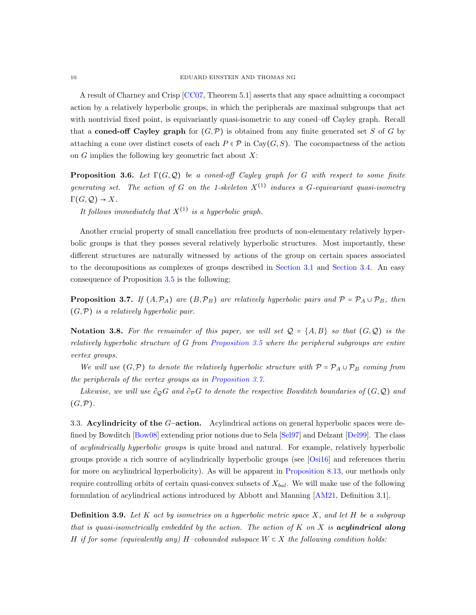A result of Charney and Crisp [\[CC07,](#page-33-21) Theorem 5.1] asserts that any space admitting a cocompact action by a relatively hyperbolic groups, in which the peripherals are maximal subgroups that act with nontrivial fixed point, is equivariantly quasi-isometric to any coned–off Cayley graph. Recall that a **coned-off Cayley graph** for  $(G, \mathcal{P})$  is obtained from any finite generated set S of G by attaching a cone over distinct cosets of each  $P \in \mathcal{P}$  in Cay( $G, S$ ). The cocompactness of the action on  $G$  implies the following key geometric fact about  $X$ :

<span id="page-9-3"></span>**Proposition 3.6.** Let  $\Gamma(G, \mathcal{Q})$  be a coned-off Cayley graph for G with respect to some finite generating set. The action of G on the 1-skeleton  $X^{(1)}$  induces a G-equivariant quasi-isometry  $\Gamma(G, \mathcal{Q}) \to X$ .

It follows immediately that  $X^{(1)}$  is a hyperbolic graph.

Another crucial property of small cancellation free products of non-elementary relatively hyperbolic groups is that they posses several relatively hyperbolic structures. Most importantly, these different structures are naturally witnessed by actions of the group on certain spaces associated to the decompositions as complexes of groups described in [Section 3.1](#page-6-1) and [Section 3.4.](#page-10-0) An easy consequence of Proposition [3.5](#page-8-0) is the following:

<span id="page-9-1"></span>**Proposition 3.7.** If  $(A, \mathcal{P}_A)$  are  $(B, \mathcal{P}_B)$  are relatively hyperbolic pairs and  $\mathcal{P} = \mathcal{P}_A \cup \mathcal{P}_B$ , then  $(G, \mathcal{P})$  is a relatively hyperbolic pair.

Notation 3.8. For the remainder of this paper, we will set  $\mathcal{Q} = \{A, B\}$  so that  $(G, \mathcal{Q})$  is the relatively hyperbolic structure of G from [Proposition 3.5](#page-8-0) where the peripheral subgroups are entire vertex groups.

We will use  $(G,\mathcal{P})$  to denote the relatively hyperbolic structure with  $\mathcal{P} = \mathcal{P}_A \cup \mathcal{P}_B$  coming from the peripherals of the vertex groups as in [Proposition 3.7.](#page-9-1)

Likewise, we will use  $\partial_{\mathcal{O}}G$  and  $\partial_{\mathcal{P}}G$  to denote the respective Bowditch boundaries of  $(G, \mathcal{Q})$  and  $(G,\mathcal{P}).$ 

<span id="page-9-0"></span>3.3. Acylindricity of the G–action. Acylindrical actions on general hyperbolic spaces were defined by Bowditch [\[Bow08\]](#page-32-7) extending prior notions due to Sela [\[Sel97\]](#page-34-16) and Delzant [\[Del99\]](#page-33-22). The class of acylindrically hyperbolic groups is quite broad and natural. For example, relatively hyperbolic groups provide a rich source of acylindrically hyperbolic groups (see [\[Osi16\]](#page-34-17) and references therin for more on acylindrical hyperbolicity). As will be apparent in [Proposition 8.13,](#page-26-0) our methods only require controlling orbits of certain quasi-convex subsets of  $X_{bal}$ . We will make use of the following formulation of acylindrical actions introduced by Abbott and Manning [\[AM21,](#page-32-8) Definition 3.1].

<span id="page-9-2"></span>**Definition 3.9.** Let K act by isometries on a hyperbolic metric space X, and let H be a subgroup that is quasi-isometrically embedded by the action. The action of  $K$  on  $X$  is **acylindrical along** H if for some (equivalently any) H–cobounded subspace  $W \subset X$  the following condition holds: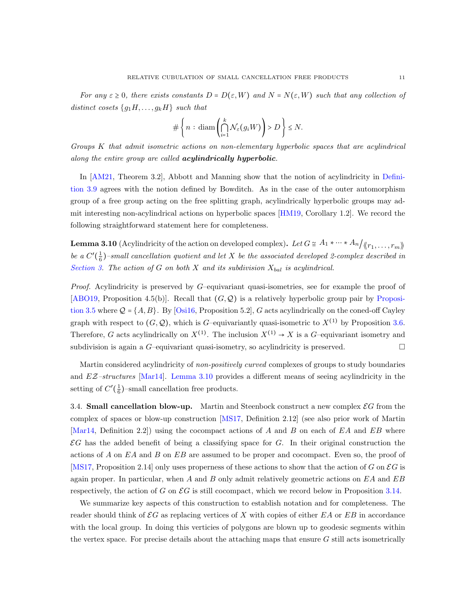For any  $\varepsilon \geq 0$ , there exists constants  $D = D(\varepsilon, W)$  and  $N = N(\varepsilon, W)$  such that any collection of distinct cosets  ${g_1H, \ldots, g_kH}$  such that

$$
\#\left\{n:\mathrm{diam}\left(\bigcap_{i=1}^k \mathcal{N}_{\varepsilon}(g_i W)\right) > D\right\} \leq N.
$$

Groups K that admit isometric actions on non-elementary hyperbolic spaces that are acylindrical along the entire group are called **acylindrically hyperbolic**.

In [\[AM21,](#page-32-8) Theorem 3.2], Abbott and Manning show that the notion of acylindricity in [Defini](#page-9-2)[tion 3.9](#page-9-2) agrees with the notion defined by Bowditch. As in the case of the outer automorphism group of a free group acting on the free splitting graph, acylindrically hyperbolic groups may admit interesting non-acylindrical actions on hyperbolic spaces [\[HM19,](#page-33-23) Corollary 1.2]. We record the following straightforward statement here for completeness.

<span id="page-10-1"></span>**Lemma 3.10** (Acylindricity of the action on developed complex). Let  $G \cong A_1 * \cdots * A_n/_{\langle\langle r_1, \ldots, r_m\rangle\rangle}$ be a  $C'(\frac{1}{6})$ -small cancellation quotient and let X be the associated developed 2-complex described in [Section 3.](#page-6-0) The action of G on both X and its subdivision  $X_{bal}$  is acylindrical.

*Proof.* Acylindricity is preserved by  $G$ –equivariant quasi-isometries, see for example the proof of [\[ABO19,](#page-32-9) Proposition 4.5(b)]. Recall that  $(G, \mathcal{Q})$  is a relatively hyperbolic group pair by [Proposi](#page-8-0)[tion 3.5](#page-8-0) where  $Q = \{A, B\}$ . By [\[Osi16,](#page-34-17) Proposition 5.2], G acts acylindrically on the coned-off Cayley graph with respect to  $(G, \mathcal{Q})$ , which is G-equivariantly quasi-isometric to  $X^{(1)}$  by Proposition [3.6.](#page-9-3) Therefore, G acts acylindrically on  $X^{(1)}$ . The inclusion  $X^{(1)} \rightarrow X$  is a G-equivariant isometry and subdivision is again a  $G$ -equivariant quasi-isometry, so acylindricity is preserved.  $\Box$ 

Martin considered acylindricity of *non-positively curved* complexes of groups to study boundaries and  $EZ-structures$  [\[Mar14\]](#page-33-15). [Lemma 3.10](#page-10-1) provides a different means of seeing acylindricity in the setting of  $C'(\frac{1}{6})$ -small cancellation free products.

<span id="page-10-0"></span>3.4. **Small cancellation blow-up.** Martin and Steenbock construct a new complex  $\mathcal{E}G$  from the complex of spaces or blow-up construction [\[MS17,](#page-34-0) Definition 2.12] (see also prior work of Martin [\[Mar14,](#page-33-15) Definition 2.2]) using the cocompact actions of A and B on each of  $EA$  and  $EB$  where  $\mathcal{E}G$  has the added benefit of being a classifying space for  $G$ . In their original construction the actions of A on EA and B on EB are assumed to be proper and cocompact. Even so, the proof of [\[MS17,](#page-34-0) Proposition 2.14] only uses properness of these actions to show that the action of G on  $\mathcal{E}G$  is again proper. In particular, when  $A$  and  $B$  only admit relatively geometric actions on  $EA$  and  $EB$ respectively, the action of G on  $\mathcal{E}G$  is still cocompact, which we record below in Proposition [3.14.](#page-12-1)

We summarize key aspects of this construction to establish notation and for completeness. The reader should think of  $\mathcal{E}G$  as replacing vertices of X with copies of either  $EA$  or  $EB$  in accordance with the local group. In doing this verticies of polygons are blown up to geodesic segments within the vertex space. For precise details about the attaching maps that ensure  $G$  still acts isometrically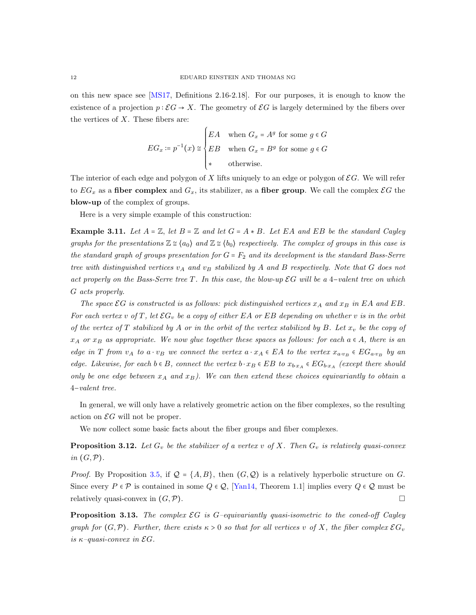on this new space see [\[MS17,](#page-34-0) Definitions 2.16-2.18]. For our purposes, it is enough to know the existence of a projection  $p : \mathcal{E}G \to X$ . The geometry of  $\mathcal{E}G$  is largely determined by the fibers over the vertices of  $X$ . These fibers are:

$$
EG_x := p^{-1}(x) \cong \begin{cases} EA & \text{when } G_x = A^g \text{ for some } g \in G \\ EB & \text{when } G_x = B^g \text{ for some } g \in G \\ * & \text{otherwise.} \end{cases}
$$

The interior of each edge and polygon of  $X$  lifts uniquely to an edge or polygon of  $\mathcal{E}G$ . We will refer to  $EG_x$  as a fiber complex and  $G_x$ , its stabilizer, as a fiber group. We call the complex  $\mathcal{E}G$  the blow-up of the complex of groups.

Here is a very simple example of this construction:

<span id="page-11-0"></span>**Example 3.11.** Let  $A = \mathbb{Z}$ , let  $B = \mathbb{Z}$  and let  $G = A * B$ . Let EA and EB be the standard Cayley graphs for the presentations  $\mathbb{Z} \cong \langle a_0 \rangle$  and  $\mathbb{Z} \cong \langle b_0 \rangle$  respectively. The complex of groups in this case is the standard graph of groups presentation for  $G = F_2$  and its development is the standard Bass-Serre tree with distinguished vertices  $v_A$  and  $v_B$  stabilized by A and B respectively. Note that G does not act properly on the Bass-Serre tree T. In this case, the blow-up  $\mathcal{E}G$  will be a 4-valent tree on which G acts properly.

The space  $\mathcal{E}G$  is constructed is as follows: pick distinguished vertices  $x_A$  and  $x_B$  in EA and EB. For each vertex v of T, let  $\mathcal{E}G_v$  be a copy of either EA or EB depending on whether v is in the orbit of the vertex of T stabilized by A or in the orbit of the vertex stabilized by B. Let  $x_v$  be the copy of  $x_A$  or  $x_B$  as appropriate. We now glue together these spaces as follows: for each  $a \in A$ , there is an edge in T from v<sub>A</sub> to a ⋅ v<sub>B</sub> we connect the vertex  $a \cdot x_A \in EA$  to the vertex  $x_{a \cdot v_B} \in EG_{a \cdot v_B}$  by an edge. Likewise, for each  $b \in B$ , connect the vertex  $b \cdot x_B \in EB$  to  $x_{b \cdot x_A} \in EG_{b \cdot x_A}$  (except there should only be one edge between  $x_A$  and  $x_B$ ). We can then extend these choices equivariantly to obtain a 4−valent tree.

In general, we will only have a relatively geometric action on the fiber complexes, so the resulting action on  $\mathcal{E}G$  will not be proper.

We now collect some basic facts about the fiber groups and fiber complexes.

<span id="page-11-1"></span>**Proposition 3.12.** Let  $G_v$  be the stabilizer of a vertex v of X. Then  $G_v$  is relatively quasi-convex in  $(G, \mathcal{P})$ .

*Proof.* By Proposition [3.5,](#page-8-0) if  $\mathcal{Q} = \{A, B\}$ , then  $(G, \mathcal{Q})$  is a relatively hyperbolic structure on G. Since every  $P \in \mathcal{P}$  is contained in some  $Q \in \mathcal{Q}$ , [\[Yan14,](#page-34-13) Theorem 1.1] implies every  $Q \in \mathcal{Q}$  must be relatively quasi-convex in  $(G, \mathcal{P})$ .

**Proposition 3.13.** The complex  $\mathcal{E}G$  is G-equivariantly quasi-isometric to the coned-off Cayley graph for  $(G,\mathcal{P})$ . Further, there exists  $\kappa > 0$  so that for all vertices v of X, the fiber complex  $\mathcal{E}G_v$ is  $\kappa$ -quasi-convex in  $\mathcal{E}G$ .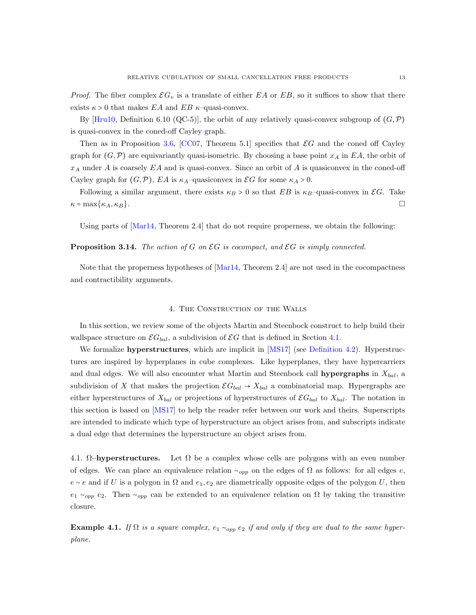*Proof.* The fiber complex  $\mathcal{E}G_v$  is a translate of either EA or EB, so it suffices to show that there exists  $\kappa > 0$  that makes EA and EB  $\kappa$ -quasi-convex.

By [\[Hru10,](#page-33-18) Definition 6.10 (QC-5)], the orbit of any relatively quasi-convex subgroup of  $(G,\mathcal{P})$ is quasi-convex in the coned-off Cayley graph.

Then as in Proposition [3.6,](#page-9-3) [\[CC07,](#page-33-21) Theorem 5.1] specifies that  $\mathcal{E}G$  and the coned off Cayley graph for  $(G,\mathcal{P})$  are equivariantly quasi-isometric. By choosing a base point  $x_A$  in EA, the orbit of  $x_A$  under A is coarsely EA and is quasi-convex. Since an orbit of A is quasiconvex in the coned-off Cayley graph for  $(G, \mathcal{P})$ ,  $EA$  is  $\kappa_A$ -quasiconvex in  $\mathcal{E}G$  for some  $\kappa_A > 0$ .

Following a similar argument, there exists  $\kappa_B > 0$  so that EB is  $\kappa_B$ –quasi-convex in  $\mathcal{E}G$ . Take  $\kappa$  = max{ $\kappa$ <sub>A</sub>,  $\kappa$ <sub>B</sub>}.

<span id="page-12-1"></span>Using parts of [\[Mar14,](#page-33-15) Theorem 2.4] that do not require properness, we obtain the following:

#### **Proposition 3.14.** The action of G on  $\mathcal{E}G$  is cocompact, and  $\mathcal{E}G$  is simply connected.

Note that the properness hypotheses of [\[Mar14,](#page-33-15) Theorem 2.4] are not used in the cocompactness and contractibility arguments.

#### 4. The Construction of the Walls

<span id="page-12-0"></span>In this section, we review some of the objects Martin and Steenbock construct to help build their wallspace structure on  $\mathcal{E}G_{bal}$ , a subdivision of  $\mathcal{E}G$  that is defined in Section [4.1.](#page-12-2)

We formalize **hyperstructures**, which are implicit in [\[MS17\]](#page-34-0) (see [Definition 4.2\)](#page-13-0). Hyperstructures are inspired by hyperplanes in cube complexes. Like hyperplanes, they have hypercarriers and dual edges. We will also encounter what Martin and Steenbock call **hypergraphs** in  $X_{bal}$ , a subdivision of X that makes the projection  $\mathcal{E}G_{bal} \rightarrow X_{bal}$  a combinatorial map. Hypergraphs are either hyperstructures of  $X_{bal}$  or projections of hyperstructures of  $\mathcal{E}G_{bal}$  to  $X_{bal}$ . The notation in this section is based on [\[MS17\]](#page-34-0) to help the reader refer between our work and theirs. Superscripts are intended to indicate which type of hyperstructure an object arises from, and subscripts indicate a dual edge that determines the hyperstructure an object arises from.

<span id="page-12-2"></span>4.1.  $\Omega$ –hyperstructures. Let  $\Omega$  be a complex whose cells are polygons with an even number of edges. We can place an equivalence relation  $\sim_{opp}$  on the edges of  $\Omega$  as follows: for all edges e,  $e \sim e$  and if U is a polygon in  $\Omega$  and  $e_1, e_2$  are diametrically opposite edges of the polygon U, then e<sub>1</sub> ∼<sub>opp</sub> e<sub>2</sub>. Then ∼<sub>opp</sub> can be extended to an equivalence relation on  $\Omega$  by taking the transitive closure.

**Example 4.1.** If  $\Omega$  is a square complex,  $e_1 \sim_{opp} e_2$  if and only if they are dual to the same hyperplane.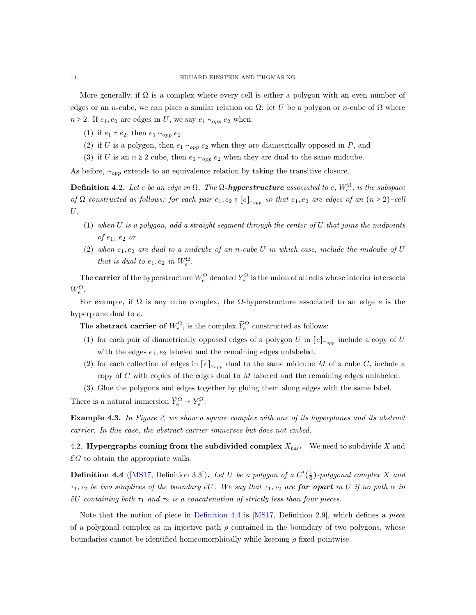More generally, if  $\Omega$  is a complex where every cell is either a polygon with an even number of edges or an n-cube, we can place a similar relation on  $\Omega$ : let U be a polygon or n-cube of  $\Omega$  where  $n \geq 2$ . If  $e_1, e_2$  are edges in U, we say  $e_1 \sim_{opp} e_2$  when:

- (1) if  $e_1 = e_2$ , then  $e_1 \sim_{opp} e_2$
- (2) if U is a polygon, then  $e_1 \sim_{opp} e_2$  when they are diametrically opposed in P, and
- (3) if U is an  $n \geq 2$  cube, then  $e_1 \sim_{opp} e_2$  when they are dual to the same midcube.

<span id="page-13-0"></span>As before,  $\sim_{opp}$  extends to an equivalence relation by taking the transitive closure.

**Definition 4.2.** Let e be an edge in  $\Omega$ . The  $\Omega$ **-hyperstructure** associated to e,  $W_e^{\Omega}$ , is the subspace of  $\Omega$  constructed as follows: for each pair  $e_1, e_2 \in [e]_{\sim_{opp}}$  so that  $e_1, e_2$  are edges of an  $(n \geq 2)$ -cell  $U,$ 

- $(1)$  when U is a polygon, add a straight segment through the center of U that joins the midpoints of  $e_1, e_2$  or
- (2) when  $e_1, e_2$  are dual to a midcube of an n-cube U in which case, include the midcube of U that is dual to  $e_1, e_2$  in  $W_e^{\Omega}$ .

The **carrier** of the hyperstructure  $W_e^{\Omega}$  denoted  $Y_e^{\Omega}$  is the union of all cells whose interior intersects  $W_e^{\Omega}$ .

For example, if  $\Omega$  is any cube complex, the  $\Omega$ -hyperstructure associated to an edge e is the hyperplane dual to e.

The **abstract carrier of**  $W_e^{\Omega}$ , is the complex  $\widetilde{Y}_e^{\Omega}$  constructed as follows:

- (1) for each pair of diametrically opposed edges of a polygon U in  $[e]_{\sim_{opp}}$  include a copy of U with the edges  $e_1, e_2$  labeled and the remaining edges unlabeled.
- (2) for each collection of edges in  $[e]_{\sim_{opp}}$  dual to the same midcube M of a cube C, include a copy of  $C$  with copies of the edges dual to  $M$  labeled and the remaining edges unlabeled.
- (3) Glue the polygons and edges together by gluing them along edges with the same label.

There is a natural immersion  $\widetilde{Y}_e^{\Omega} \to Y_e^{\Omega}$ .

Example 4.3. In Figure [2,](#page-14-0) we show a square complex with one of its hyperplanes and its abstract carrier. In this case, the abstract carrier immerses but does not embed.

4.2. Hypergraphs coming from the subdivided complex  $X_{bal}$ . We need to subdivide X and  $\mathcal{E}G$  to obtain the appropriate walls.

<span id="page-13-1"></span>**Definition 4.4** ([\[MS17,](#page-34-0) Definition 3.3]). Let U be a polygon of a  $C'(\frac{1}{6})$ -polygonal complex X and  $\tau_1, \tau_2$  be two simplices of the boundary  $\partial U$ . We say that  $\tau_1, \tau_2$  are **far apart** in U if no path  $\alpha$  in  $\partial U$  containing both  $\tau_1$  and  $\tau_2$  is a concatenation of strictly less than four pieces.

Note that the notion of piece in [Definition 4.4](#page-13-1) is [\[MS17,](#page-34-0) Definition 2.9], which defines a piece of a polygonal complex as an injective path  $\rho$  contained in the boundary of two polygons, whose boundaries cannot be identified homeomorphically while keeping  $\rho$  fixed pointwise.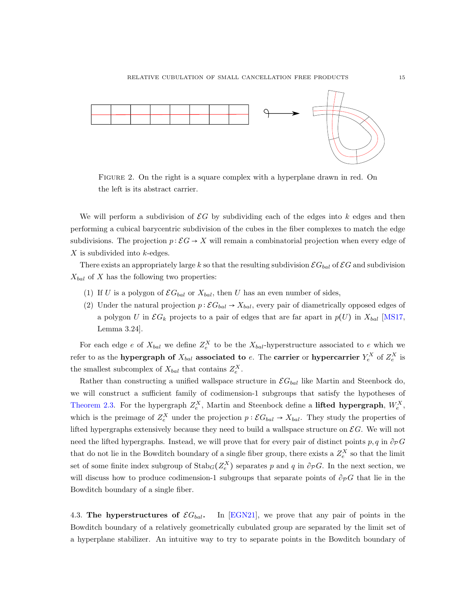

<span id="page-14-0"></span>Figure 2. On the right is a square complex with a hyperplane drawn in red. On the left is its abstract carrier.

We will perform a subdivision of  $\mathcal{E}G$  by subdividing each of the edges into k edges and then performing a cubical barycentric subdivision of the cubes in the fiber complexes to match the edge subdivisions. The projection  $p : \mathcal{E}G \to X$  will remain a combinatorial projection when every edge of X is subdivided into k-edges.

There exists an appropriately large k so that the resulting subdivision  $\mathcal{E}G_{bal}$  of  $\mathcal{E}G$  and subdivision  $X_{bal}$  of X has the following two properties:

- (1) If U is a polygon of  $\mathcal{E}G_{bal}$  or  $X_{bal}$ , then U has an even number of sides,
- (2) Under the natural projection  $p : \mathcal{E}G_{bal} \to X_{bal}$ , every pair of diametrically opposed edges of a polygon U in  $\mathcal{EG}_k$  projects to a pair of edges that are far apart in  $p(U)$  in  $X_{bal}$  [\[MS17,](#page-34-0) Lemma 3.24].

For each edge e of  $X_{bal}$  we define  $Z_e^X$  to be the  $X_{bal}$ -hyperstructure associated to e which we refer to as the hypergraph of  $X_{bal}$  associated to e. The carrier or hypercarrier  $Y_e^X$  of  $Z_e^X$  is the smallest subcomplex of  $X_{bal}$  that contains  $Z_e^X$ .

Rather than constructing a unified wallspace structure in  $\mathcal{E}G_{bal}$  like Martin and Steenbock do, we will construct a sufficient family of codimension-1 subgroups that satisfy the hypotheses of [Theorem 2.3.](#page-4-1) For the hypergraph  $Z_e^X$ , Martin and Steenbock define a **lifted hypergraph**,  $W_e^X$ , which is the preimage of  $Z_e^X$  under the projection  $p: \mathcal{E}G_{bal} \to X_{bal}$ . They study the properties of lifted hypergraphs extensively because they need to build a wallspace structure on  $\mathcal{E}G$ . We will not need the lifted hypergraphs. Instead, we will prove that for every pair of distinct points p, q in  $\partial_{\mathcal{P}}G$ that do not lie in the Bowditch boundary of a single fiber group, there exists a  $Z_e^X$  so that the limit set of some finite index subgroup of  $\text{Stab}_G(Z_e^X)$  separates p and q in  $\partial_{\mathcal{P}}G$ . In the next section, we will discuss how to produce codimension-1 subgroups that separate points of  $\partial_{\mathcal{P}}G$  that lie in the Bowditch boundary of a single fiber.

4.3. The hyperstructures of  $\mathcal{E}G_{bal}$ . In [\[EGN21\]](#page-33-16), we prove that any pair of points in the Bowditch boundary of a relatively geometrically cubulated group are separated by the limit set of a hyperplane stabilizer. An intuitive way to try to separate points in the Bowditch boundary of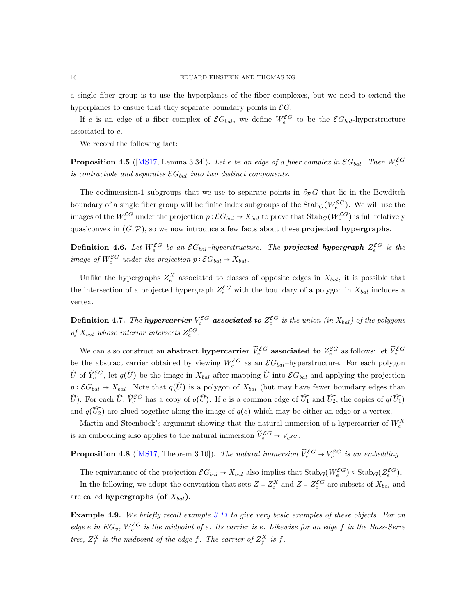a single fiber group is to use the hyperplanes of the fiber complexes, but we need to extend the hyperplanes to ensure that they separate boundary points in  $\mathcal{E}G$ .

If e is an edge of a fiber complex of  $\mathcal{E}G_{bal}$ , we define  $W_e^{\mathcal{E}G}$  to be the  $\mathcal{E}G_{bal}$ -hyperstructure associated to e.

We record the following fact:

**Proposition 4.5** ([\[MS17,](#page-34-0) Lemma 3.34]). Let e be an edge of a fiber complex in  $\mathcal{E}G_{bal}$ . Then  $W_e^{\mathcal{E}G}$ is contractible and separates  $\mathcal{E}G_{bal}$  into two distinct components.

The codimension-1 subgroups that we use to separate points in  $\partial_{\mathcal{P}}G$  that lie in the Bowditch boundary of a single fiber group will be finite index subgroups of the  $\text{Stab}_G(W_e^{\mathcal{E}G})$ . We will use the images of the  $W_e^{\mathcal{E}G}$  under the projection  $p:\mathcal{E}G_{bal}\to X_{bal}$  to prove that  $\mathrm{Stab}_G(W_e^{\mathcal{E}G})$  is full relatively quasiconvex in  $(G, \mathcal{P})$ , so we now introduce a few facts about these **projected hypergraphs**.

**Definition 4.6.** Let  $W_e^{\mathcal{E}G}$  be an  $\mathcal{E}G_{bal}$ -hyperstructure. The **projected hypergraph**  $Z_e^{\mathcal{E}G}$  is the image of  $W_e^{\mathcal{E}G}$  under the projection  $p : \mathcal{E}G_{bal} \to X_{bal}$ .

Unlike the hypergraphs  $Z_e^X$  associated to classes of opposite edges in  $X_{bal}$ , it is possible that the intersection of a projected hypergraph  $Z_e^{\mathcal{E}G}$  with the boundary of a polygon in  $X_{bal}$  includes a vertex.

**Definition 4.7.** The **hypercarrier**  $V_e^{\mathcal{E}G}$  **associated to**  $Z_e^{\mathcal{E}G}$  is the union (in  $X_{bal}$ ) of the polygons of  $X_{bal}$  whose interior intersects  $Z_e^{\mathcal{E}G}$ .

We can also construct an abstract hypercarrier  $\widetilde{V}_e^{\mathcal{E}G}$  associated to  $Z_e^{\mathcal{E}G}$  as follows: let  $\widetilde{Y}_e^{\mathcal{E}G}$ be the abstract carrier obtained by viewing  $W_e^{\mathcal{E}G}$  as an  $\mathcal{E}G_{bal}$ -hyperstructure. For each polygon  $\widehat{U}$  of  $\widehat{Y}_e^{\mathcal{E}G}$ , let  $q(\widehat{U})$  be the image in  $X_{bal}$  after mapping  $\widehat{U}$  into  $\mathcal{E}G_{bal}$  and applying the projection  $p:\mathcal{E}G_{bal}\to X_{bal}$ . Note that  $q(\widehat{U})$  is a polygon of  $X_{bal}$  (but may have fewer boundary edges than  $\widehat{U}$ ). For each  $\widehat{U}$ ,  $\widehat{V}^{\mathcal{E}G}_e$  has a copy of  $q(\widehat{U})$ . If e is a common edge of  $\widehat{U}_1$  and  $\widehat{U}_2$ , the copies of  $q(\widehat{U}_1)$ and  $q(\widehat{U_2})$  are glued together along the image of  $q(e)$  which may be either an edge or a vertex.

Martin and Steenbock's argument showing that the natural immersion of a hypercarrier of  $W_e^X$ is an embedding also applies to the natural immersion  $\widetilde{V}_e^{\mathcal{E}G} \to V_e \varepsilon \varepsilon$ :

**Proposition 4.8** ([\[MS17,](#page-34-0) Theorem 3.10]). The natural immersion  $\tilde{V}_e^{\mathcal{E}G} \to V_e^{\mathcal{E}G}$  is an embedding.

The equivariance of the projection  $\mathcal{E}G_{bal} \to X_{bal}$  also implies that  $\text{Stab}_G(W_e^{\mathcal{E}G}) \leq \text{Stab}_G(Z_e^{\mathcal{E}G})$ . In the following, we adopt the convention that sets  $Z = Z_e^X$  and  $Z = Z_e^{\mathcal{E}G}$  are subsets of  $X_{bal}$  and are called **hypergraphs** (of  $X_{bal}$ ).

Example 4.9. We briefly recall example [3.11](#page-11-0) to give very basic examples of these objects. For an edge e in  $EG_v$ ,  $W_e^{\mathcal{E}G}$  is the midpoint of e. Its carrier is e. Likewise for an edge f in the Bass-Serre tree,  $Z_f^X$  is the midpoint of the edge f. The carrier of  $Z_f^X$  is f.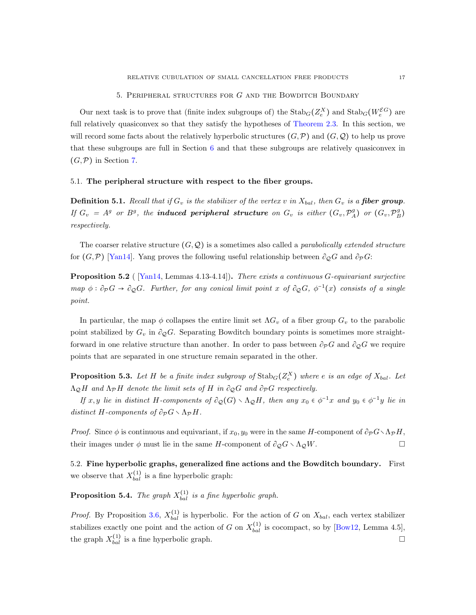<span id="page-16-0"></span>Our next task is to prove that (finite index subgroups of) the  $\text{Stab}_G(Z_e^X)$  and  $\text{Stab}_G(W_e^{\mathcal{EG}})$  are full relatively quasiconvex so that they satisfy the hypotheses of [Theorem 2.3.](#page-4-1) In this section, we will record some facts about the relatively hyperbolic structures  $(G, \mathcal{P})$  and  $(G, \mathcal{Q})$  to help us prove that these subgroups are full in Section [6](#page-18-0) and that these subgroups are relatively quasiconvex in  $(G,\mathcal{P})$  in Section [7.](#page-21-0)

#### 5.1. The peripheral structure with respect to the fiber groups.

**Definition 5.1.** Recall that if  $G_v$  is the stabilizer of the vertex v in  $X_{bal}$ , then  $G_v$  is a fiber group. If  $G_v = A^g$  or  $B^g$ , the **induced peripheral structure** on  $G_v$  is either  $(G_v, \mathcal{P}_A^g)$  or  $(G_v, \mathcal{P}_B^g)$ respectively.

The coarser relative structure  $(G, \mathcal{Q})$  is a sometimes also called a *parabolically extended structure* for  $(G,\mathcal{P})$  [\[Yan14\]](#page-34-13). Yang proves the following useful relationship between  $\partial_{\mathcal{O}}G$  and  $\partial_{\mathcal{P}}G$ :

<span id="page-16-2"></span>Proposition 5.2 ( [\[Yan14,](#page-34-13) Lemmas 4.13-4.14]). There exists a continuous G-equivariant surjective map  $\phi : \partial_{\mathcal{P}} G \to \partial_{\mathcal{Q}} G$ . Further, for any conical limit point x of  $\partial_{\mathcal{Q}} G$ ,  $\phi^{-1}(x)$  consists of a single point.

In particular, the map  $\phi$  collapses the entire limit set  $\Lambda G_v$  of a fiber group  $G_v$  to the parabolic point stabilized by  $G_v$  in  $\partial_{\mathcal{Q}}G$ . Separating Bowditch boundary points is sometimes more straightforward in one relative structure than another. In order to pass between  $\partial_{\mathcal{P}}G$  and  $\partial_{\mathcal{Q}}G$  we require points that are separated in one structure remain separated in the other.

<span id="page-16-3"></span>**Proposition 5.3.** Let H be a finite index subgroup of  $\text{Stab}_G(Z_e^X)$  where e is an edge of  $X_{bal}$ . Let  $\Lambda_{\mathcal{Q}}H$  and  $\Lambda_{\mathcal{P}}H$  denote the limit sets of H in  $\partial_{\mathcal{Q}}G$  and  $\partial_{\mathcal{P}}G$  respectively.

If  $x, y$  lie in distinct H-components of  $\partial_{\mathcal{Q}}(G) \setminus \Lambda_{\mathcal{Q}}H$ , then any  $x_0 \in \phi^{-1}x$  and  $y_0 \in \phi^{-1}y$  lie in distinct H-components of  $\partial_{\mathcal{P}} G \setminus \Lambda_{\mathcal{P}} H$ .

*Proof.* Since  $\phi$  is continuous and equivariant, if  $x_0, y_0$  were in the same H-component of  $\partial_p G \setminus \Lambda_p H$ , their images under  $\phi$  must lie in the same H-component of  $\partial_{\mathcal{Q}}G \setminus \Lambda_{\mathcal{Q}}W$ .

5.2. Fine hyperbolic graphs, generalized fine actions and the Bowditch boundary. First we observe that  $X_{bal}^{(1)}$  is a fine hyperbolic graph:

<span id="page-16-1"></span>**Proposition 5.4.** The graph  $X_{bal}^{(1)}$  is a fine hyperbolic graph.

*Proof.* By Proposition [3.6,](#page-9-3)  $X_{bal}^{(1)}$  is hyperbolic. For the action of G on  $X_{bal}$ , each vertex stabilizer stabilizes exactly one point and the action of G on  $X_{bal}^{(1)}$  is cocompact, so by [\[Bow12,](#page-33-19) Lemma 4.5], the graph  $X_{bal}^{(1)}$  is a fine hyperbolic graph.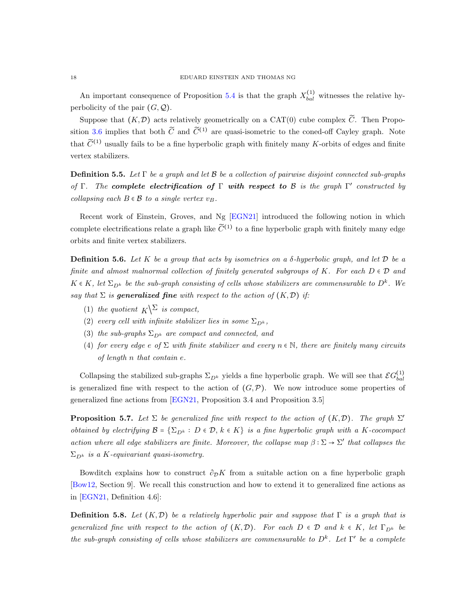An important consequence of Proposition [5.4](#page-16-1) is that the graph  $X_{bal}^{(1)}$  witnesses the relative hyperbolicity of the pair  $(G, Q)$ .

Suppose that  $(K,\mathcal{D})$  acts relatively geometrically on a CAT(0) cube complex  $\widetilde{C}$ . Then Propo-sition [3.6](#page-9-3) implies that both  $\tilde{C}$  and  $\tilde{C}^{(1)}$  are quasi-isometric to the coned-off Cayley graph. Note that  $\widetilde{C}^{(1)}$  usually fails to be a fine hyperbolic graph with finitely many K-orbits of edges and finite vertex stabilizers.

**Definition 5.5.** Let  $\Gamma$  be a graph and let  $\mathcal{B}$  be a collection of pairwise disjoint connected sub-graphs of Γ. The complete electrification of Γ with respect to B is the graph  $\Gamma'$  constructed by collapsing each  $B \in \mathcal{B}$  to a single vertex  $v_B$ .

Recent work of Einstein, Groves, and Ng [\[EGN21\]](#page-33-16) introduced the following notion in which complete electrifications relate a graph like  $\widetilde{C}^{(1)}$  to a fine hyperbolic graph with finitely many edge orbits and finite vertex stabilizers.

<span id="page-17-0"></span>**Definition 5.6.** Let K be a group that acts by isometries on a  $\delta$ -hyperbolic graph, and let D be a finite and almost malnormal collection of finitely generated subgroups of K. For each  $D \in \mathcal{D}$  and  $K \in K$ , let  $\Sigma_{D^k}$  be the sub-graph consisting of cells whose stabilizers are commensurable to  $D^k$ . We say that  $\Sigma$  is **generalized fine** with respect to the action of  $(K, \mathcal{D})$  if:

- (1) the quotient  $K^{\sum}$  is compact,
- (2) every cell with infinite stabilizer lies in some  $\Sigma_{D^k}$ ,
- (3) the sub-graphs  $\Sigma_{D^k}$  are compact and connected, and
- (4) for every edge e of  $\Sigma$  with finite stabilizer and every  $n \in \mathbb{N}$ , there are finitely many circuits of length n that contain e.

Collapsing the stabilized sub-graphs  $\Sigma_{D^k}$  yields a fine hyperbolic graph. We will see that  $\mathcal{E}G_{bal}^{(1)}$ bal is generalized fine with respect to the action of  $(G,\mathcal{P})$ . We now introduce some properties of generalized fine actions from [\[EGN21,](#page-33-16) Proposition 3.4 and Proposition 3.5]

<span id="page-17-2"></span>**Proposition 5.7.** Let  $\Sigma$  be generalized fine with respect to the action of  $(K,\mathcal{D})$ . The graph  $\Sigma'$ obtained by electrifying  $\mathcal{B} = \{\Sigma_{D^k} : D \in \mathcal{D}, k \in K\}$  is a fine hyperbolic graph with a K-cocompact action where all edge stabilizers are finite. Moreover, the collapse map  $\beta : \Sigma \to \Sigma'$  that collapses the  $\Sigma_{D^k}$  is a K-equivariant quasi-isometry.

Bowditch explains how to construct  $\partial_{\mathcal{D}}K$  from a suitable action on a fine hyperbolic graph [\[Bow12,](#page-33-19) Section 9]. We recall this construction and how to extend it to generalized fine actions as in [\[EGN21,](#page-33-16) Definition 4.6]:

<span id="page-17-1"></span>**Definition 5.8.** Let  $(K,\mathcal{D})$  be a relatively hyperbolic pair and suppose that  $\Gamma$  is a graph that is generalized fine with respect to the action of  $(K,\mathcal{D})$ . For each  $D \in \mathcal{D}$  and  $k \in K$ , let  $\Gamma_{D^k}$  be the sub-graph consisting of cells whose stabilizers are commensurable to  $D<sup>k</sup>$ . Let  $\Gamma'$  be a complete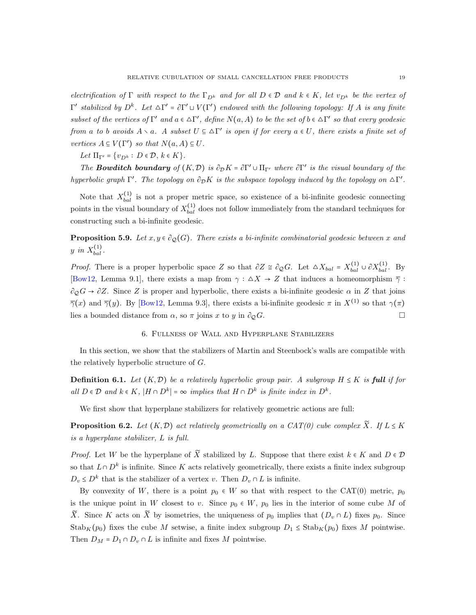electrification of Γ with respect to the  $\Gamma_{D^k}$  and for all  $D \in \mathcal{D}$  and  $k \in K$ , let  $v_{D^k}$  be the vertex of  $Γ'$  stabilized by  $D^k$ . Let  $ΔΓ' = ∂Γ' ∪ V(Γ')$  endowed with the following topology: If A is any finite subset of the vertices of  $\Gamma'$  and  $a \in \Delta \Gamma'$ , define  $N(a, A)$  to be the set of  $b \in \Delta \Gamma'$  so that every geodesic from a to b avoids  $A \setminus a$ . A subset  $U \subseteq \Delta \Gamma'$  is open if for every  $a \in U$ , there exists a finite set of vertices  $A \subseteq V(\Gamma')$  so that  $N(a, A) \subseteq U$ .

Let  $\Pi_{\Gamma'} = \{v_{D^k} : D \in \mathcal{D}, k \in K\}.$ 

The **Bowditch boundary** of  $(K, \mathcal{D})$  is  $\partial_{\mathcal{D}} K = \partial \Gamma' \cup \Pi_{\Gamma'}$  where  $\partial \Gamma'$  is the visual boundary of the hyperbolic graph  $\Gamma'$ . The topology on  $\partial_{\mathcal{D}} K$  is the subspace topology induced by the topology on  $\Delta \Gamma'$ .

Note that  $X_{bal}^{(1)}$  is not a proper metric space, so existence of a bi-infinite geodesic connecting points in the visual boundary of  $X_{bal}^{(1)}$  does not follow immediately from the standard techniques for constructing such a bi-infinite geodesic.

<span id="page-18-2"></span>**Proposition 5.9.** Let  $x, y \in \partial_{\mathcal{Q}}(G)$ . There exists a bi-infinite combinatorial geodesic between x and y in  $X_{bal}^{(1)}$ .

*Proof.* There is a proper hyperbolic space Z so that  $\partial Z \cong \partial_{\mathcal{Q}}G$ . Let  $\Delta X_{bal} = X_{bal}^{(1)} \cup \partial X_{bal}^{(1)}$ . By [\[Bow12,](#page-33-19) Lemma 9.1], there exists a map from  $\gamma : \Delta X \to Z$  that induces a homeomorphism  $\overline{\gamma}$ :  $\partial_{\mathcal{Q}}G \to \partial Z$ . Since Z is proper and hyperbolic, there exists a bi-infinite geodesic  $\alpha$  in Z that joins  $\overline{\gamma}(x)$  and  $\overline{\gamma}(y)$ . By [\[Bow12,](#page-33-19) Lemma 9.3], there exists a bi-infinite geodesic  $\pi$  in  $X^{(1)}$  so that  $\gamma(\pi)$ lies a bounded distance from  $\alpha$ , so  $\pi$  joins x to y in  $\partial_{\varphi}G$ .

## 6. Fullness of Wall and Hyperplane Stabilizers

<span id="page-18-0"></span>In this section, we show that the stabilizers of Martin and Steenbock's walls are compatible with the relatively hyperbolic structure of G.

**Definition 6.1.** Let  $(K,\mathcal{D})$  be a relatively hyperbolic group pair. A subgroup  $H \leq K$  is **full** if for all  $D \in \mathcal{D}$  and  $k \in K$ ,  $|H \cap D^k| = \infty$  implies that  $H \cap D^k$  is finite index in  $D^k$ .

We first show that hyperplane stabilizers for relatively geometric actions are full:

<span id="page-18-1"></span>**Proposition 6.2.** Let  $(K,\mathcal{D})$  act relatively geometrically on a CAT(0) cube complex  $\widetilde{X}$ . If  $L \leq K$ is a hyperplane stabilizer, L is full.

*Proof.* Let W be the hyperplane of  $\widetilde{X}$  stabilized by L. Suppose that there exist  $k \in K$  and  $D \in \mathcal{D}$ so that  $L \cap D^k$  is infinite. Since K acts relatively geometrically, there exists a finite index subgroup  $D_v \leq D^k$  that is the stabilizer of a vertex v. Then  $D_v \cap L$  is infinite.

By convexity of W, there is a point  $p_0 \in W$  so that with respect to the CAT(0) metric,  $p_0$ is the unique point in W closest to v. Since  $p_0 \in W$ ,  $p_0$  lies in the interior of some cube M of  $\widetilde{X}$ . Since K acts on  $\widetilde{X}$  by isometries, the uniqueness of  $p_0$  implies that  $(D_v \cap L)$  fixes  $p_0$ . Since  $\text{Stab}_K(p_0)$  fixes the cube M setwise, a finite index subgroup  $D_1 \leq \text{Stab}_K(p_0)$  fixes M pointwise. Then  $D_M = D_1 \cap D_v \cap L$  is infinite and fixes M pointwise.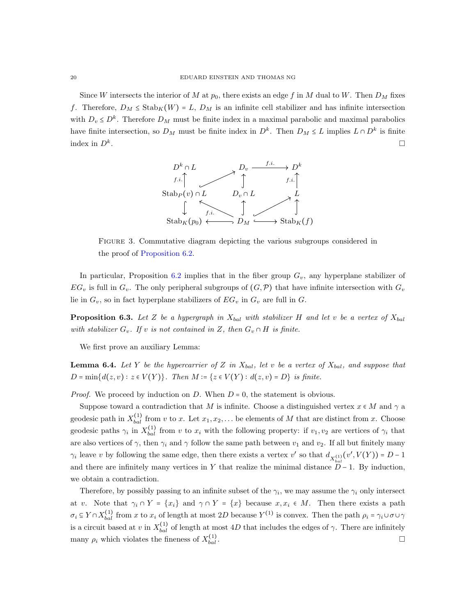Since W intersects the interior of M at  $p_0$ , there exists an edge f in M dual to W. Then  $D_M$  fixes f. Therefore,  $D_M \leq \text{Stab}_K(W) = L$ ,  $D_M$  is an infinite cell stabilizer and has infinite intersection with  $D_v \leq D^k$ . Therefore  $D_M$  must be finite index in a maximal parabolic and maximal parabolics have finite intersection, so  $D_M$  must be finite index in  $D^k$ . Then  $D_M \leq L$  implies  $L \cap D^k$  is finite index in  $D^k$ . .



Figure 3. Commutative diagram depicting the various subgroups considered in the proof of [Proposition 6.2.](#page-18-1)

In particular, Proposition [6.2](#page-18-1) implies that in the fiber group  $G_v$ , any hyperplane stabilizer of  $EG_v$  is full in  $G_v$ . The only peripheral subgroups of  $(G, \mathcal{P})$  that have infinite intersection with  $G_v$ lie in  $G_v$ , so in fact hyperplane stabilizers of  $EG_v$  in  $G_v$  are full in  $G_v$ .

<span id="page-19-0"></span>**Proposition 6.3.** Let Z be a hypergraph in  $X_{bal}$  with stabilizer H and let v be a vertex of  $X_{bal}$ with stabilizer  $G_v$ . If v is not contained in Z, then  $G_v \cap H$  is finite.

<span id="page-19-1"></span>We first prove an auxiliary Lemma:

**Lemma 6.4.** Let Y be the hypercarrier of Z in  $X_{bal}$ , let v be a vertex of  $X_{bal}$ , and suppose that  $D = min{d(z, v) : z \in V(Y)}$ . Then  $M = {z \in V(Y) : d(z, v) = D}$  is finite.

*Proof.* We proceed by induction on  $D$ . When  $D = 0$ , the statement is obvious.

Suppose toward a contradiction that M is infinite. Choose a distinguished vertex  $x \in M$  and  $\gamma$  a geodesic path in  $X_{bal}^{(1)}$  from v to x. Let  $x_1, x_2, \ldots$  be elements of M that are distinct from x. Choose geodesic paths  $\gamma_i$  in  $X_{bal}^{(1)}$  from v to  $x_i$  with the following property: if  $v_1, v_2$  are vertices of  $\gamma_i$  that are also vertices of  $\gamma$ , then  $\gamma_i$  and  $\gamma$  follow the same path between  $v_1$  and  $v_2$ . If all but finitely many  $\gamma_i$  leave v by following the same edge, then there exists a vertex v' so that  $d_{X_{hol}^{(1)}}(v',V(Y)) = D - 1$ and there are infinitely many vertices in Y that realize the minimal distance  $\overline{D} - 1$ . By induction, we obtain a contradiction.

Therefore, by possibly passing to an infinite subset of the  $\gamma_i$ , we may assume the  $\gamma_i$  only intersect at v. Note that  $\gamma_i \cap Y = \{x_i\}$  and  $\gamma \cap Y = \{x\}$  because  $x, x_i \in M$ . Then there exists a path  $\sigma_i \subseteq Y \cap X_{bal}^{(1)}$  from x to  $x_i$  of length at most 2D because  $Y^{(1)}$  is convex. Then the path  $\rho_i = \gamma_i \cup \sigma \cup \gamma$ is a circuit based at v in  $X_{bal}^{(1)}$  of length at most 4D that includes the edges of  $\gamma$ . There are infinitely many  $\rho_i$  which violates the fineness of  $X_{bal}^{(1)}$  $\Box$ <br>bal .  $\Box$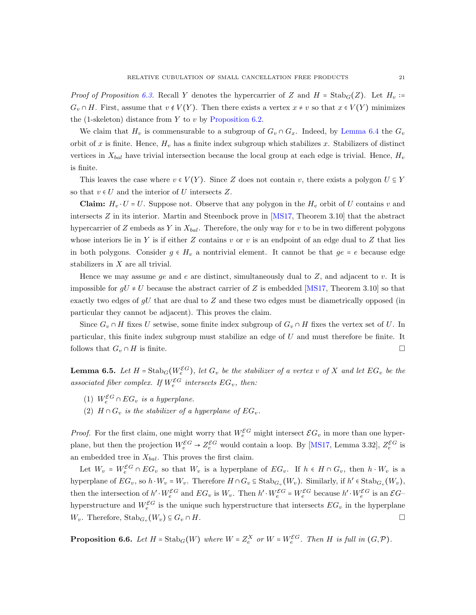*Proof of Proposition [6.3.](#page-19-0)* Recall Y denotes the hypercarrier of Z and  $H = \text{Stab}_G(Z)$ . Let  $H_v$  :=  $G_v \cap H$ . First, assume that  $v \notin V(Y)$ . Then there exists a vertex  $x \neq v$  so that  $x \in V(Y)$  minimizes the (1-skeleton) distance from  $Y$  to  $v$  by [Proposition 6.2.](#page-18-1)

We claim that  $H_v$  is commensurable to a subgroup of  $G_v \cap G_x$ . Indeed, by [Lemma 6.4](#page-19-1) the  $G_v$ orbit of x is finite. Hence,  $H_v$  has a finite index subgroup which stabilizes x. Stabilizers of distinct vertices in  $X_{bal}$  have trivial intersection because the local group at each edge is trivial. Hence,  $H_v$ is finite.

This leaves the case where  $v \in V(Y)$ . Since Z does not contain v, there exists a polygon  $U \subseteq Y$ so that  $v \in U$  and the interior of U intersects Z.

**Claim:**  $H_v \cdot U = U$ . Suppose not. Observe that any polygon in the  $H_v$  orbit of U contains v and intersects Z in its interior. Martin and Steenbock prove in [\[MS17,](#page-34-0) Theorem 3.10] that the abstract hypercarrier of  $Z$  embeds as  $Y$  in  $X_{bal}$ . Therefore, the only way for  $v$  to be in two different polygons whose interiors lie in Y is if either  $Z$  contains  $v$  or  $v$  is an endpoint of an edge dual to  $Z$  that lies in both polygons. Consider  $g \in H_v$  a nontrivial element. It cannot be that  $ge = e$  because edge stabilizers in  $X$  are all trivial.

Hence we may assume ge and e are distinct, simultaneously dual to  $Z$ , and adjacent to v. It is impossible for  $gU \neq U$  because the abstract carrier of Z is embedded [\[MS17,](#page-34-0) Theorem 3.10] so that exactly two edges of  $gU$  that are dual to  $Z$  and these two edges must be diametrically opposed (in particular they cannot be adjacent). This proves the claim.

Since  $G_v \cap H$  fixes U setwise, some finite index subgroup of  $G_v \cap H$  fixes the vertex set of U. In particular, this finite index subgroup must stabilize an edge of U and must therefore be finite. It follows that  $G_v \cap H$  is finite.

<span id="page-20-0"></span>**Lemma 6.5.** Let  $H = \text{Stab}_G(W_e^{\mathcal{E}G})$ , let  $G_v$  be the stabilizer of a vertex v of X and let  $EG_v$  be the associated fiber complex. If  $W_e^{\mathcal{E}G}$  intersects  $EG_v$ , then:

- (1)  $W_e^{\mathcal{E}G} \cap EG_v$  is a hyperplane.
- (2)  $H \cap G_v$  is the stabilizer of a hyperplane of  $EG_v$ .

*Proof.* For the first claim, one might worry that  $W_e^{\mathcal{E}G}$  might intersect  $\mathcal{E}G_v$  in more than one hyperplane, but then the projection  $W_e^{\mathcal{E}G} \to Z_e^{\mathcal{E}G}$  would contain a loop. By [\[MS17,](#page-34-0) Lemma 3.32],  $Z_e^{\mathcal{E}G}$  is an embedded tree in  $X_{bal}$ . This proves the first claim.

Let  $W_v = W_e^{\mathcal{E}G} \cap EG_v$  so that  $W_v$  is a hyperplane of  $EG_v$ . If  $h \in H \cap G_v$ , then  $h \cdot W_v$  is a hyperplane of  $EG_v$ , so  $h \cdot W_v = W_v$ . Therefore  $H \cap G_v \subseteq \text{Stab}_{G_v}(W_v)$ . Similarly, if  $h' \in \text{Stab}_{G_v}(W_v)$ , then the intersection of  $h' \cdot W_e^{\mathcal{E}G}$  and  $EG_v$  is  $W_v$ . Then  $h' \cdot W_e^{\mathcal{E}G} = W_e^{\mathcal{E}G}$  because  $h' \cdot W_e^{\mathcal{E}G}$  is an  $\mathcal{E}G$ hyperstructure and  $W_e^{\mathcal{E}G}$  is the unique such hyperstructure that intersects  $EG_v$  in the hyperplane  $W_v$ . Therefore,  $\operatorname{Stab}_{G_v}(W_v) \subseteq G_v \cap H$ .

<span id="page-20-1"></span>**Proposition 6.6.** Let  $H = \text{Stab}_G(W)$  where  $W = Z_e^X$  or  $W = W_e^{\mathcal{E}G}$ . Then  $H$  is full in  $(G, \mathcal{P})$ .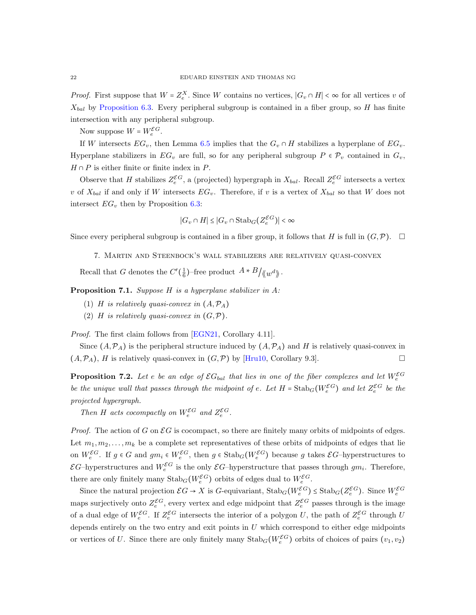*Proof.* First suppose that  $W = Z_e^X$ . Since W contains no vertices,  $|G_v \cap H| < \infty$  for all vertices v of  $X_{bal}$  by [Proposition 6.3.](#page-19-0) Every peripheral subgroup is contained in a fiber group, so H has finite intersection with any peripheral subgroup.

Now suppose  $W = W_e^{\mathcal{E}G}$ .

If W intersects  $EG_v$ , then Lemma [6.5](#page-20-0) implies that the  $G_v \cap H$  stabilizes a hyperplane of  $EG_v$ . Hyperplane stabilizers in  $EG_v$  are full, so for any peripheral subgroup  $P \in \mathcal{P}_v$  contained in  $G_v$ ,  $H \cap P$  is either finite or finite index in P.

Observe that H stabilizes  $Z_e^{\mathcal{E}G}$ , a (projected) hypergraph in  $X_{bal}$ . Recall  $Z_e^{\mathcal{E}G}$  intersects a vertex v of  $X_{bal}$  if and only if W intersects  $EG_v$ . Therefore, if v is a vertex of  $X_{bal}$  so that W does not intersect  $EG_v$  then by Proposition [6.3:](#page-19-0)

$$
|G_v \cap H| \le |G_v \cap \operatorname{Stab}_G(Z_e^{\mathcal{E}G})| < \infty
$$

<span id="page-21-0"></span>Since every peripheral subgroup is contained in a fiber group, it follows that H is full in  $(G,\mathcal{P})$ .  $\Box$ 

7. Martin and Steenbock's wall stabilizers are relatively quasi-convex

Recall that G denotes the  $C'(\frac{1}{6})$ -free product  $A * B / \langle w^d \rangle$ .

<span id="page-21-2"></span>Proposition 7.1. Suppose H is a hyperplane stabilizer in A:

- (1) H is relatively quasi-convex in  $(A, \mathcal{P}_A)$
- (2) H is relatively quasi-convex in  $(G, \mathcal{P})$ .

Proof. The first claim follows from [\[EGN21,](#page-33-16) Corollary 4.11].

Since  $(A, \mathcal{P}_A)$  is the peripheral structure induced by  $(A, \mathcal{P}_A)$  and H is relatively quasi-convex in  $(A, \mathcal{P}_A)$ , *H* is relatively quasi-convex in  $(G, \mathcal{P})$  by [\[Hru10,](#page-33-18) Corollary 9.3].

<span id="page-21-1"></span>**Proposition 7.2.** Let e be an edge of  $\mathcal{E}G_{bal}$  that lies in one of the fiber complexes and let  $W_e^{\mathcal{E}G}$ be the unique wall that passes through the midpoint of e. Let  $H = \text{Stab}_G(W_e^{\mathcal{E}G})$  and let  $Z_e^{\mathcal{E}G}$  be the projected hypergraph.

Then H acts cocompactly on  $W_e^{\mathcal{E}G}$  and  $Z_e^{\mathcal{E}G}$ .

*Proof.* The action of G on  $\mathcal{E}G$  is cocompact, so there are finitely many orbits of midpoints of edges. Let  $m_1, m_2, \ldots, m_k$  be a complete set representatives of these orbits of midpoints of edges that lie on  $W_e^{\mathcal{E}G}$ . If  $g \in G$  and  $gm_i \in W_e^{\mathcal{E}G}$ , then  $g \in \text{Stab}_G(W_e^{\mathcal{E}G})$  because g takes  $\mathcal{E}G$ -hyperstructures to  $\mathcal{E}G$ -hyperstructures and  $W_e^{\mathcal{E}G}$  is the only  $\mathcal{E}G$ -hyperstructure that passes through  $gm_i$ . Therefore, there are only finitely many  $\text{Stab}_G(W_e^{\mathcal{E}G})$  orbits of edges dual to  $W_e^{\mathcal{E}G}$ .

Since the natural projection  $\mathcal{E}G \to X$  is G-equivariant,  $\text{Stab}_G(W_e^{\mathcal{E}G}) \leq \text{Stab}_G(Z_e^{\mathcal{E}G})$ . Since  $W_e^{\mathcal{E}G}$ maps surjectively onto  $Z_e^{\mathcal{E}G}$ , every vertex and edge midpoint that  $Z_e^{\mathcal{E}G}$  passes through is the image of a dual edge of  $W_e^{\mathcal{E}G}$ . If  $Z_e^{\mathcal{E}G}$  intersects the interior of a polygon U, the path of  $Z_e^{\mathcal{E}G}$  through U depends entirely on the two entry and exit points in  $U$  which correspond to either edge midpoints or vertices of U. Since there are only finitely many  $\text{Stab}_G(W_e^{\mathcal{E}G})$  orbits of choices of pairs  $(v_1, v_2)$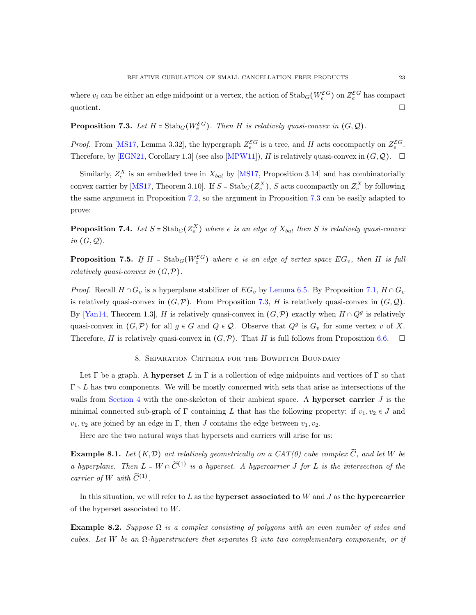where  $v_i$  can be either an edge midpoint or a vertex, the action of  $\text{Stab}_G(W_e^{\mathcal{E}G})$  on  $Z_e^{\mathcal{E}G}$  has compact quotient.

# <span id="page-22-1"></span>**Proposition 7.3.** Let  $H = \text{Stab}_G(W_e^{\mathcal{E}G})$ . Then H is relatively quasi-convex in  $(G, \mathcal{Q})$ .

*Proof.* From [\[MS17,](#page-34-0) Lemma 3.32], the hypergraph  $Z_e^{\mathcal{E}G}$  is a tree, and H acts cocompactly on  $Z_e^{\mathcal{E}G}$ . Therefore, by [\[EGN21,](#page-33-16) Corollary 1.3] (see also [\[MPW11\]](#page-34-18)), H is relatively quasi-convex in  $(G, \mathcal{Q})$ .  $\Box$ 

Similarly,  $Z_e^X$  is an embedded tree in  $X_{bal}$  by [\[MS17,](#page-34-0) Proposition 3.14] and has combinatorially convex carrier by [\[MS17,](#page-34-0) Theorem 3.10]. If  $S = \text{Stab}_G(Z_e^X)$ , S acts cocompactly on  $Z_e^X$  by following the same argument in Proposition [7.2,](#page-21-1) so the argument in Proposition [7.3](#page-22-1) can be easily adapted to prove:

<span id="page-22-3"></span>**Proposition 7.4.** Let  $S = \text{Stab}_G(Z_e^X)$  where e is an edge of  $X_{bal}$  then S is relatively quasi-convex in  $(G, Q)$ .

<span id="page-22-2"></span>**Proposition 7.5.** If  $H = \text{Stab}_G(W_e^{\mathcal{E}G})$  where e is an edge of vertex space  $EG_v$ , then H is full relatively quasi-convex in  $(G, \mathcal{P})$ .

*Proof.* Recall  $H \cap G_v$  is a hyperplane stabilizer of  $EG_v$  by [Lemma 6.5.](#page-20-0) By Proposition [7.1,](#page-21-2)  $H \cap G_v$ is relatively quasi-convex in  $(G, \mathcal{P})$ . From Proposition [7.3,](#page-22-1) H is relatively quasi-convex in  $(G, \mathcal{Q})$ . By [\[Yan14,](#page-34-13) Theorem 1.3], H is relatively quasi-convex in  $(G, \mathcal{P})$  exactly when  $H \cap Q^g$  is relatively quasi-convex in  $(G, \mathcal{P})$  for all  $g \in G$  and  $Q \in \mathcal{Q}$ . Observe that  $Q^g$  is  $G_v$  for some vertex v of X. Therefore, H is relatively quasi-convex in  $(G, \mathcal{P})$ . That H is full follows from Proposition [6.6.](#page-20-1)  $\Box$ 

#### 8. Separation Criteria for the Bowditch Boundary

<span id="page-22-0"></span>Let  $\Gamma$  be a graph. A **hyperset** L in  $\Gamma$  is a collection of edge midpoints and vertices of  $\Gamma$  so that  $\Gamma \setminus L$  has two components. We will be mostly concerned with sets that arise as intersections of the walls from [Section 4](#page-12-0) with the one-skeleton of their ambient space. A hyperset carrier  $J$  is the minimal connected sub-graph of Γ containing L that has the following property: if  $v_1, v_2 \in J$  and  $v_1, v_2$  are joined by an edge in Γ, then J contains the edge between  $v_1, v_2$ .

Here are the two natural ways that hypersets and carriers will arise for us:

**Example 8.1.** Let  $(K, \mathcal{D})$  act relatively geometrically on a CAT(0) cube complex  $\widetilde{C}$ , and let W be a hyperplane. Then  $L = W \cap \tilde{C}^{(1)}$  is a hyperset. A hypercarrier J for L is the intersection of the carrier of W with  $\widetilde{C}^{(1)}$ .

In this situation, we will refer to L as the hyperset associated to W and J as the hypercarrier of the hyperset associated to W.

Example 8.2. Suppose  $\Omega$  is a complex consisting of polygons with an even number of sides and cubes. Let W be an  $\Omega$ -hyperstructure that separates  $\Omega$  into two complementary components, or if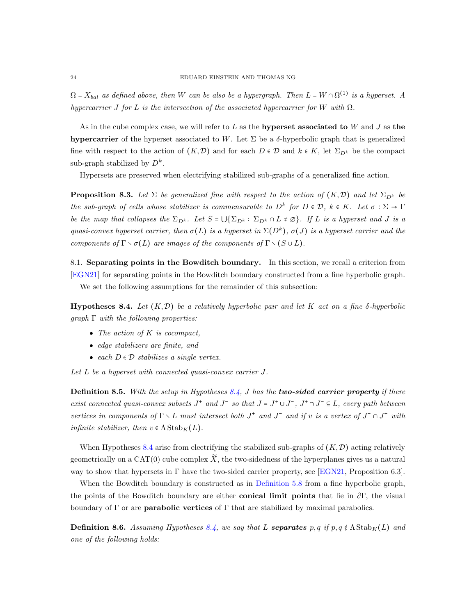$\Omega$  =  $X_{bal}$  as defined above, then W can be also be a hypergraph. Then  $L = W \cap \Omega^{(1)}$  is a hyperset. A hypercarrier J for L is the intersection of the associated hypercarrier for W with  $\Omega$ .

As in the cube complex case, we will refer to  $L$  as the **hyperset associated to**  $W$  and  $J$  as the hypercarrier of the hyperset associated to W. Let  $\Sigma$  be a  $\delta$ -hyperbolic graph that is generalized fine with respect to the action of  $(K,\mathcal{D})$  and for each  $D \in \mathcal{D}$  and  $k \in K$ , let  $\Sigma_{D^k}$  be the compact sub-graph stabilized by  $D^k$ .

<span id="page-23-2"></span>Hypersets are preserved when electrifying stabilized sub-graphs of a generalized fine action.

**Proposition 8.3.** Let  $\Sigma$  be generalized fine with respect to the action of  $(K,\mathcal{D})$  and let  $\Sigma_{D^k}$  be the sub-graph of cells whose stabilizer is commensurable to  $D^k$  for  $D \in \mathcal{D}$ ,  $k \in K$ . Let  $\sigma : \Sigma \to \Gamma$ be the map that collapses the  $\Sigma_{D^k}$ . Let  $S = \bigcup \{\Sigma_{D^k} : \Sigma_{D^k} \cap L \neq \emptyset\}$ . If L is a hyperset and J is a quasi-convex hyperset carrier, then  $\sigma(L)$  is a hyperset in  $\Sigma(D^k)$ ,  $\sigma(J)$  is a hyperset carrier and the components of  $\Gamma \setminus \sigma(L)$  are images of the components of  $\Gamma \setminus (S \cup L)$ .

8.1. Separating points in the Bowditch boundary. In this section, we recall a criterion from [\[EGN21\]](#page-33-16) for separating points in the Bowditch boundary constructed from a fine hyperbolic graph. We set the following assumptions for the remainder of this subsection:

<span id="page-23-0"></span>**Hypotheses 8.4.** Let  $(K, \mathcal{D})$  be a relatively hyperbolic pair and let K act on a fine  $\delta$ -hyperbolic  $graph \Gamma$  with the following properties:

- The action of  $K$  is cocompact,
- edge stabilizers are finite, and
- each  $D \in \mathcal{D}$  stabilizes a single vertex.

Let L be a hyperset with connected quasi-convex carrier J.

**Definition 8.5.** With the setup in Hypotheses [8.4,](#page-23-0) J has the **two-sided carrier property** if there exist connected quasi-convex subsets  $J^+$  and  $J^-$  so that  $J = J^+ \cup J^-$ ,  $J^+ \cap J^- \subseteq L$ , every path between vertices in components of  $\Gamma \setminus L$  must intersect both  $J^+$  and  $J^-$  and if v is a vertex of  $J^- \cap J^+$  with infinite stabilizer, then  $v \in \Lambda$  Stab<sub>K</sub>(L).

When Hypotheses [8.4](#page-23-0) arise from electrifying the stabilized sub-graphs of  $(K,\mathcal{D})$  acting relatively geometrically on a CAT(0) cube complex  $\widetilde{X}$ , the two-sidedness of the hyperplanes gives us a natural way to show that hypersets in  $\Gamma$  have the two-sided carrier property, see [\[EGN21,](#page-33-16) Proposition 6.3].

When the Bowditch boundary is constructed as in [Definition 5.8](#page-17-1) from a fine hyperbolic graph, the points of the Bowditch boundary are either **conical limit points** that lie in  $\partial \Gamma$ , the visual boundary of  $\Gamma$  or are **parabolic vertices** of  $\Gamma$  that are stabilized by maximal parabolics.

<span id="page-23-1"></span>**Definition 8.6.** Assuming Hypotheses [8.4,](#page-23-0) we say that L **separates** p, q if  $p, q \notin \Lambda$  Stab<sub>K</sub>(L) and one of the following holds: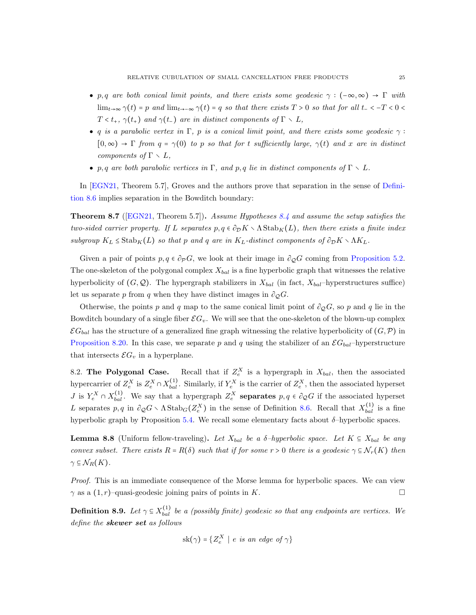- p, q are both conical limit points, and there exists some geodesic  $\gamma : (-\infty, \infty) \to \Gamma$  with  $\lim_{t\to\infty}\gamma(t)=p$  and  $\lim_{t\to-\infty}\gamma(t)=q$  so that there exists  $T>0$  so that for all  $t-1 < 0 <$  $T < t_{+}, \gamma(t_{+})$  and  $\gamma(t_{-})$  are in distinct components of  $\Gamma \setminus L$ ,
- q is a parabolic vertex in Γ, p is a conical limit point, and there exists some geodesic  $\gamma$ :  $[0,\infty) \to \Gamma$  from  $q = \gamma(0)$  to p so that for t sufficiently large,  $\gamma(t)$  and x are in distinct components of  $\Gamma \setminus L$ ,
- p, q are both parabolic vertices in  $\Gamma$ , and p, q lie in distinct components of  $\Gamma \setminus L$ .

In [\[EGN21,](#page-33-16) Theorem 5.7], Groves and the authors prove that separation in the sense of [Defini](#page-23-1)[tion 8.6](#page-23-1) implies separation in the Bowditch boundary:

<span id="page-24-1"></span>**Theorem 8.7** ([\[EGN21,](#page-33-16) Theorem 5.7]). Assume Hypotheses [8.4](#page-23-0) and assume the setup satisfies the two-sided carrier property. If L separates  $p, q \in \partial_\mathcal{D} K \setminus \Lambda$  Stab $_K(L)$ , then there exists a finite index subgroup  $K_L \leq \text{Stab}_K(L)$  so that p and q are in  $K_L$ -distinct components of  $\partial_{\mathcal{D}} K \setminus \Lambda K_L$ .

Given a pair of points  $p, q \in \partial_p G$ , we look at their image in  $\partial_{\mathcal{Q}}G$  coming from [Proposition 5.2.](#page-16-2) The one-skeleton of the polygonal complex  $X_{bal}$  is a fine hyperbolic graph that witnesses the relative hyperbolicity of  $(G, \mathcal{Q})$ . The hypergraph stabilizers in  $X_{bal}$  (in fact,  $X_{bal}$ –hyperstructures suffice) let us separate p from q when they have distinct images in  $\partial_{\mathcal{Q}}G$ .

Otherwise, the points p and q map to the same conical limit point of  $\partial_{\mathcal{Q}}G$ , so p and q lie in the Bowditch boundary of a single fiber  $\mathcal{E}G_v$ . We will see that the one-skeleton of the blown-up complex  $\mathcal{E}G_{bal}$  has the structure of a generalized fine graph witnessing the relative hyperbolicity of  $(G,\mathcal{P})$  in [Proposition 8.20.](#page-28-0) In this case, we separate p and q using the stabilizer of an  $\mathcal{E}G_{bal}$ -hyperstructure that intersects  $\mathcal{E}G_v$  in a hyperplane.

8.2. The Polygonal Case. Recall that if  $Z_e^X$  is a hypergraph in  $X_{bal}$ , then the associated hypercarrier of  $Z_e^X$  is  $Z_e^X \cap X_{bal}^{(1)}$ . Similarly, if  $Y_e^X$  is the carrier of  $Z_e^X$ , then the associated hyperset J is  $Y_e^X \cap X_{bal}^{(1)}$ . We say that a hypergraph  $Z_e^X$  **separates**  $p, q \in \partial_{\mathcal{Q}}G$  if the associated hyperset L separates  $p, q$  in  $\partial_{\mathcal{Q}}G \setminus \Lambda \text{Stab}_G(Z_e^X)$  in the sense of Definition [8.6.](#page-23-1) Recall that  $X_{bal}^{(1)}$  is a fine hyperbolic graph by Proposition [5.4.](#page-16-1) We recall some elementary facts about  $\delta$ -hyperbolic spaces.

<span id="page-24-0"></span>**Lemma 8.8** (Uniform fellow-traveling). Let  $X_{bal}$  be a  $\delta$ -hyperbolic space. Let  $K \subseteq X_{bal}$  be any convex subset. There exists  $R = R(\delta)$  such that if for some  $r > 0$  there is a geodesic  $\gamma \subseteq \mathcal{N}_r(K)$  then  $\gamma \subseteq \mathcal{N}_R(K)$ .

Proof. This is an immediate consequence of the Morse lemma for hyperbolic spaces. We can view  $\gamma$  as a  $(1, r)$ –quasi-geodesic joining pairs of points in K.

**Definition 8.9.** Let  $\gamma \subseteq X_{bal}^{(1)}$  be a (possibly finite) geodesic so that any endpoints are vertices. We define the skewer set as follows

$$
sk(\gamma) = \{Z_e^X \mid e \text{ is an edge of } \gamma\}
$$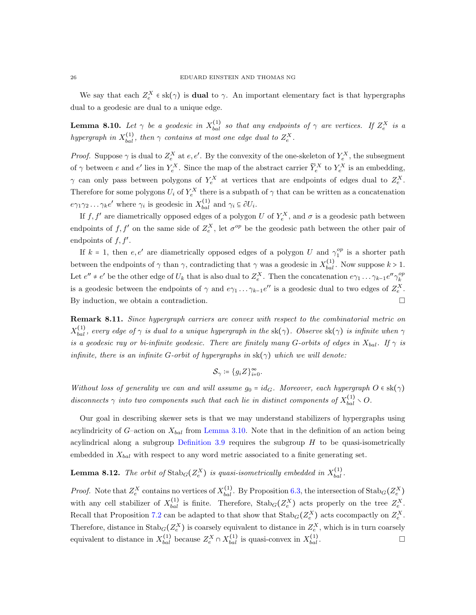We say that each  $Z_e^X \in sk(\gamma)$  is **dual** to  $\gamma$ . An important elementary fact is that hypergraphs dual to a geodesic are dual to a unique edge.

<span id="page-25-0"></span>**Lemma 8.10.** Let  $\gamma$  be a geodesic in  $X_{bal}^{(1)}$  so that any endpoints of  $\gamma$  are vertices. If  $Z_e^X$  is a hypergraph in  $X_{bal}^{(1)}$ , then  $\gamma$  contains at most one edge dual to  $Z_e^X$ .

*Proof.* Suppose  $\gamma$  is dual to  $Z_e^X$  at  $e, e'$ . By the convexity of the one-skeleton of  $Y_e^X$ , the subsegment of  $\gamma$  between e and e' lies in  $Y_e^X$ . Since the map of the abstract carrier  $\widetilde{Y}_e^X$  to  $Y_e^X$  is an embedding,  $\gamma$  can only pass between polygons of  $Y_e^X$  at vertices that are endpoints of edges dual to  $Z_e^X$ . Therefore for some polygons  $U_i$  of  $Y_e^X$  there is a subpath of  $\gamma$  that can be written as a concatenation  $e\gamma_1\gamma_2 \dots \gamma_k e'$  where  $\gamma_i$  is geodesic in  $X_{bal}^{(1)}$  and  $\gamma_i \subseteq \partial U_i$ .

If  $f, f'$  are diametrically opposed edges of a polygon U of  $Y_e^X$ , and  $\sigma$  is a geodesic path between endpoints of f, f' on the same side of  $Z_e^X$ , let  $\sigma^{op}$  be the geodesic path between the other pair of endpoints of  $f, f'$ .

If  $k = 1$ , then  $e, e'$  are diametrically opposed edges of a polygon U and  $\gamma_1^{op}$  is a shorter path between the endpoints of  $\gamma$  than  $\gamma$ , contradicting that  $\gamma$  was a geodesic in  $X_{bal}^{(1)}$ . Now suppose  $k > 1$ . Let  $e'' \neq e'$  be the other edge of  $U_k$  that is also dual to  $Z_e^X$ . Then the concatenation  $e\gamma_1 \dots \gamma_{k-1} e'' \gamma_k^{op}$ is a geodesic between the endpoints of  $\gamma$  and  $e\gamma_1 \dots \gamma_{k-1}e''$  is a geodesic dual to two edges of  $Z_e^X$ . By induction, we obtain a contradiction.

<span id="page-25-1"></span>Remark 8.11. Since hypergraph carriers are convex with respect to the combinatorial metric on  $X_{bal}^{(1)}$ , every edge of  $\gamma$  is dual to a unique hypergraph in the sk( $\gamma$ ). Observe sk( $\gamma$ ) is infinite when  $\gamma$ is a geodesic ray or bi-infinite geodesic. There are finitely many G-orbits of edges in  $X_{bal}$ . If  $\gamma$  is infinite, there is an infinite G-orbit of hypergraphs in  $sk(\gamma)$  which we will denote:

$$
\mathcal{S}_{\gamma} \coloneqq \{g_iZ\}_{i=0}^{\infty}.
$$

Without loss of generality we can and will assume  $g_0 = id_G$ . Moreover, each hypergraph  $O \in sk(\gamma)$ disconnects  $\gamma$  into two components such that each lie in distinct components of  $X_{bal}^{(1)} \setminus O$ .

Our goal in describing skewer sets is that we may understand stabilizers of hypergraphs using acylindricity of  $G$ -action on  $X_{bal}$  from [Lemma 3.10.](#page-10-1) Note that in the definition of an action being acylindrical along a subgroup [Definition 3.9](#page-9-2) requires the subgroup  $H$  to be quasi-isometrically embedded in  $X_{bal}$  with respect to any word metric associated to a finite generating set.

# **Lemma 8.12.** The orbit of  $\text{Stab}_G(Z_e^X)$  is quasi-isometrically embedded in  $X_{bal}^{(1)}$ .

*Proof.* Note that  $Z_e^X$  contains no vertices of  $X_{bal}^{(1)}$ . By Proposition [6.3,](#page-19-0) the intersection of  $\text{Stab}_G(Z_e^X)$ with any cell stabilizer of  $X_{bal}^{(1)}$  is finite. Therefore,  $\text{Stab}_G(Z_e^X)$  acts properly on the tree  $Z_e^X$ . Recall that Proposition [7.2](#page-21-1) can be adapted to that show that  $\text{Stab}_G(Z_e^X)$  acts cocompactly on  $Z_e^X$ . Therefore, distance in  $\text{Stab}_G(Z_e^X)$  is coarsely equivalent to distance in  $Z_e^X$ , which is in turn coarsely equivalent to distance in  $X_{bal}^{(1)}$  because  $Z_e^X \cap X_{bal}^{(1)}$  is quasi-convex in  $X_{bal}^{(1)}$  $\begin{array}{c}\n\text{(1)} \\
\text{bal}\n\end{array}$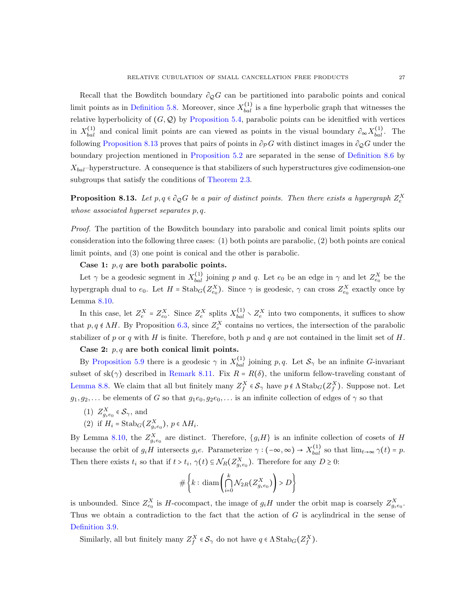Recall that the Bowditch boundary  $\partial_{\mathcal{Q}}G$  can be partitioned into parabolic points and conical limit points as in [Definition 5.8.](#page-17-1) Moreover, since  $X_{bal}^{(1)}$  is a fine hyperbolic graph that witnesses the relative hyperbolicity of  $(G, Q)$  by [Proposition 5.4,](#page-16-1) parabolic points can be idenitied with vertices in  $X_{bal}^{(1)}$  and conical limit points are can viewed as points in the visual boundary  $\partial_{\infty} X_{bal}^{(1)}$ . The following [Proposition 8.13](#page-26-0) proves that pairs of points in  $\partial_{\mathcal{P}}G$  with distinct images in  $\partial_{\mathcal{Q}}G$  under the boundary projection mentioned in [Proposition 5.2](#page-16-2) are separated in the sense of [Definition 8.6](#page-23-1) by  $X_{bal}$ –hyperstructure. A consequence is that stabilizers of such hyperstructures give codimension-one subgroups that satisfy the conditions of [Theorem 2.3.](#page-4-1)

<span id="page-26-0"></span>**Proposition 8.13.** Let  $p, q \in \partial_{\mathcal{Q}}G$  be a pair of distinct points. Then there exists a hypergraph  $Z_e^X$ whose associated hyperset separates p, q.

Proof. The partition of the Bowditch boundary into parabolic and conical limit points splits our consideration into the following three cases: (1) both points are parabolic, (2) both points are conical limit points, and (3) one point is conical and the other is parabolic.

## Case 1:  $p, q$  are both parabolic points.

Let  $\gamma$  be a geodesic segment in  $X_{bal}^{(1)}$  joining p and q. Let  $e_0$  be an edge in  $\gamma$  and let  $Z_{e_0}^X$  be the hypergraph dual to  $e_0$ . Let  $H = \text{Stab}_G(Z_{e_0}^X)$ . Since  $\gamma$  is geodesic,  $\gamma$  can cross  $Z_{e_0}^X$  exactly once by Lemma [8.10.](#page-25-0)

In this case, let  $Z_e^X = Z_{e_0}^X$ . Since  $Z_e^X$  splits  $X_{bal}^{(1)} \setminus Z_e^X$  into two components, it suffices to show that  $p, q \notin \Lambda H$ . By Proposition [6.3,](#page-19-0) since  $Z_e^X$  contains no vertices, the intersection of the parabolic stabilizer of p or q with H is finite. Therefore, both p and q are not contained in the limit set of H.

## Case 2:  $p, q$  are both conical limit points.

By [Proposition 5.9](#page-18-2) there is a geodesic  $\gamma$  in  $X_{bal}^{(1)}$  joining p, q. Let  $S_{\gamma}$  be an infinite G-invariant subset of sk( $\gamma$ ) described in [Remark 8.11.](#page-25-1) Fix  $R = R(\delta)$ , the uniform fellow-traveling constant of [Lemma 8.8.](#page-24-0) We claim that all but finitely many  $Z_f^X \in \mathcal{S}_{\gamma}$  have  $p \notin \Lambda \text{Stab}_G(Z_f^X)$ . Suppose not. Let  $g_1, g_2, \ldots$  be elements of G so that  $g_1e_0, g_2e_0, \ldots$  is an infinite collection of edges of  $\gamma$  so that

(1)  $Z_{g_i e_0}^X \in \mathcal{S}_{\gamma}$ , and

(2) if 
$$
H_i = \text{Stab}_G(Z_{g_i e_0}^X), p \in \Lambda H_i.
$$

By Lemma [8.10,](#page-25-0) the  $Z_{g_ie_0}^X$  are distinct. Therefore,  $\{g_i H\}$  is an infinite collection of cosets of H because the orbit of  $g_i H$  intersects  $g_i e$ . Parameterize  $\gamma : (-\infty, \infty) \to X_{bal}^{(1)}$  so that  $\lim_{t \to \infty} \gamma(t) = p$ . Then there exists  $t_i$  so that if  $t > t_i$ ,  $\gamma(t) \subseteq \mathcal{N}_R(Z_{g_i e_0}^X)$ . Therefore for any  $D \geq 0$ :

$$
\#\left\{k:\,\operatorname{diam}\left(\bigcap_{i=0}^k \mathcal{N}_{2R}(Z_{g_ie_0}^X)\right) > D\right\}
$$

is unbounded. Since  $Z_{e_0}^X$  is H-cocompact, the image of  $g_iH$  under the orbit map is coarsely  $Z_{g_ie_0}^X$ . Thus we obtain a contradiction to the fact that the action of  $G$  is acylindrical in the sense of [Definition 3.9.](#page-9-2)

Similarly, all but finitely many  $Z_f^X \in \mathcal{S}_{\gamma}$  do not have  $q \in \Lambda \text{Stab}_G(Z_f^X)$ .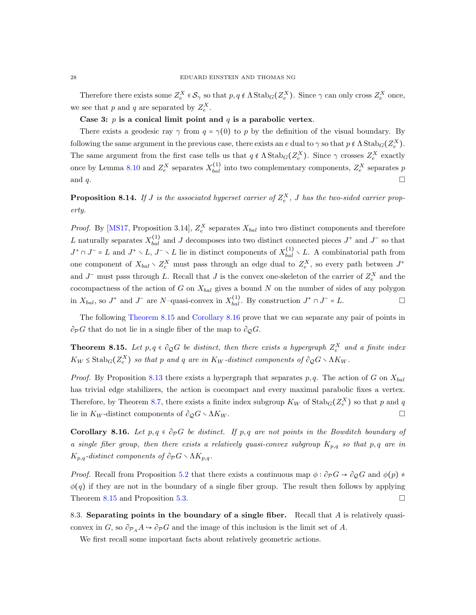Therefore there exists some  $Z_e^X \in \mathcal{S}_{\gamma}$  so that  $p, q \notin \Lambda \text{Stab}_G(Z_e^X)$ . Since  $\gamma$  can only cross  $Z_e^X$  once, we see that p and q are separated by  $Z_e^X$ .

# Case 3:  $p$  is a conical limit point and  $q$  is a parabolic vertex.

There exists a geodesic ray  $\gamma$  from  $q = \gamma(0)$  to p by the definition of the visual boundary. By following the same argument in the previous case, there exists an e dual to  $\gamma$  so that  $p \notin \Lambda$  Stab $_G(Z_e^X)$ . The same argument from the first case tells us that  $q \notin \Lambda$  Stab $_G(Z_e^X)$ . Since  $\gamma$  crosses  $Z_e^X$  exactly once by Lemma [8.10](#page-25-0) and  $Z_e^X$  separates  $X_{bal}^{(1)}$  into two complementary components,  $Z_e^X$  separates p and q.

**Proposition 8.14.** If J is the associated hyperset carrier of  $Z_e^X$ , J has the two-sided carrier property.

*Proof.* By [\[MS17,](#page-34-0) Proposition 3.14],  $Z_e^X$  separates  $X_{bal}$  into two distinct components and therefore L naturally separates  $X_{bal}^{(1)}$  and J decomposes into two distinct connected pieces  $J^+$  and  $J^-$  so that  $J^+\cap J^-=L$  and  $J^+\setminus L$ ,  $J^-\setminus L$  lie in distinct components of  $X_{bal}^{(1)}\setminus L$ . A combinatorial path from one component of  $X_{bal} \setminus Z_e^X$  must pass through an edge dual to  $Z_e^X$ , so every path between  $J^+$ and  $J^-$  must pass through L. Recall that J is the convex one-skeleton of the carrier of  $Z_e^X$  and the cocompactness of the action of G on  $X_{bal}$  gives a bound N on the number of sides of any polygon in  $X_{bal}$ , so  $J^+$  and  $J^-$  are N-quasi-convex in  $X_{bal}^{(1)}$ . By construction  $J^+ \cap J^- = L$ .

The following [Theorem 8.15](#page-27-0) and [Corollary 8.16](#page-27-1) prove that we can separate any pair of points in  $\partial_{\mathcal{P}}G$  that do not lie in a single fiber of the map to  $\partial_{\mathcal{Q}}G$ .

<span id="page-27-0"></span>**Theorem 8.15.** Let  $p, q \in \partial_{\mathcal{Q}}G$  be distinct, then there exists a hypergraph  $Z_e^X$  and a finite index  $K_W \leq \text{Stab}_G(Z_e^X)$  so that p and q are in  $K_W$ -distinct components of  $\partial_{\mathcal{Q}}G \setminus \Lambda K_W$ .

*Proof.* By Proposition [8.13](#page-26-0) there exists a hypergraph that separates p, q. The action of G on  $X_{bal}$ has trivial edge stabilizers, the action is cocompact and every maximal parabolic fixes a vertex. Therefore, by Theorem [8.7,](#page-24-1) there exists a finite index subgroup  $K_W$  of  $\text{Stab}_G(Z_e^X)$  so that p and q lie in  $K_W$ -distinct components of  $\partial_{\mathcal{Q}} G \setminus \Lambda K_W$ .

<span id="page-27-1"></span>**Corollary 8.16.** Let  $p, q \in \partial_{\mathcal{P}}G$  be distinct. If p,q are not points in the Bowditch boundary of a single fiber group, then there exists a relatively quasi-convex subgroup  $K_{p,q}$  so that p, q are in  $K_{p,q}$ -distinct components of  $\partial_{\mathcal{P}} G \setminus \Lambda K_{p,q}$ .

*Proof.* Recall from Proposition [5.2](#page-16-2) that there exists a continuous map  $\phi : \partial_{\mathcal{P}} G \to \partial_{\mathcal{Q}} G$  and  $\phi(p) \neq$  $\phi(q)$  if they are not in the boundary of a single fiber group. The result then follows by applying Theorem [8.15](#page-27-0) and Proposition [5.3.](#page-16-3)

8.3. Separating points in the boundary of a single fiber. Recall that  $A$  is relatively quasiconvex in G, so  $\partial_{\mathcal{P}_A} A \to \partial_{\mathcal{P}} G$  and the image of this inclusion is the limit set of A.

<span id="page-27-2"></span>We first recall some important facts about relatively geometric actions.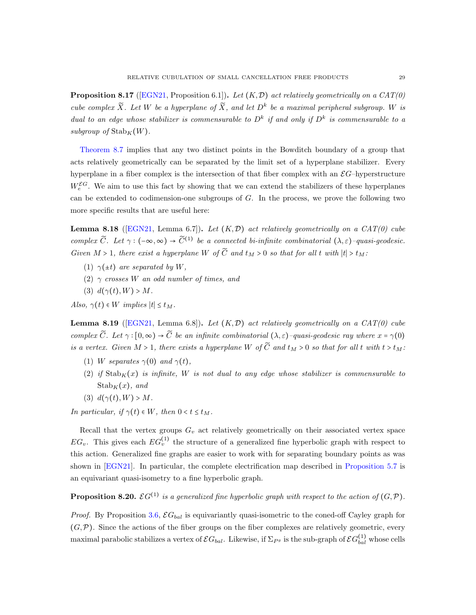**Proposition 8.17** ([\[EGN21,](#page-33-16) Proposition 6.1]). Let  $(K, \mathcal{D})$  act relatively geometrically on a  $CAT(0)$ cube complex  $\widetilde{X}$ . Let W be a hyperplane of  $\widetilde{X}$ , and let  $D^k$  be a maximal peripheral subgroup. W is dual to an edge whose stabilizer is commensurable to  $D^k$  if and only if  $D^k$  is commensurable to a subgroup of  $\mathrm{Stab}_K(W)$ .

[Theorem 8.7](#page-24-1) implies that any two distinct points in the Bowditch boundary of a group that acts relatively geometrically can be separated by the limit set of a hyperplane stabilizer. Every hyperplane in a fiber complex is the intersection of that fiber complex with an  $\mathcal{E}G$ -hyperstructure  $W_e^{\mathcal{E}G}$ . We aim to use this fact by showing that we can extend the stabilizers of these hyperplanes can be extended to codimension-one subgroups of  $G$ . In the process, we prove the following two more specific results that are useful here:

<span id="page-28-1"></span>**Lemma 8.18** ([\[EGN21,](#page-33-16) Lemma 6.7]). Let  $(K, \mathcal{D})$  act relatively geometrically on a CAT(0) cube complex  $\widetilde{C}$ . Let  $\gamma: (-\infty,\infty) \to \widetilde{C}^{(1)}$  be a connected bi-infinite combinatorial  $(\lambda,\varepsilon)$ -quasi-geodesic. Given  $M > 1$ , there exist a hyperplane W of  $\widetilde{C}$  and  $t_M > 0$  so that for all t with  $|t| > t_M$ :

- (1)  $\gamma(\pm t)$  are separated by W,
- (2)  $\gamma$  crosses W an odd number of times, and
- (3)  $d(\gamma(t), W) > M$ .

Also,  $\gamma(t) \in W$  implies  $|t| \leq t_M$ .

<span id="page-28-2"></span>**Lemma 8.19** ([\[EGN21,](#page-33-16) Lemma 6.8]). Let  $(K, \mathcal{D})$  act relatively geometrically on a CAT(0) cube complex  $\widetilde{C}$ . Let  $\gamma : [0, \infty) \to \widetilde{C}$  be an infinite combinatorial  $(\lambda, \varepsilon)$ –quasi-geodesic ray where  $x = \gamma(0)$ is a vertex. Given  $M > 1$ , there exists a hyperplane W of  $\widetilde{C}$  and  $t_M > 0$  so that for all t with  $t > t_M$ :

- (1) W separates  $\gamma(0)$  and  $\gamma(t)$ ,
- (2) if  $\text{Stab}_K(x)$  is infinite, W is not dual to any edge whose stabilizer is commensurable to  $Stab<sub>K</sub>(x)$ , and
- (3)  $d(\gamma(t), W) > M$ .

In particular, if  $\gamma(t) \in W$ , then  $0 < t \leq t_M$ .

Recall that the vertex groups  $G_v$  act relatively geometrically on their associated vertex space  $EG_v$ . This gives each  $EG_v^{(1)}$  the structure of a generalized fine hyperbolic graph with respect to this action. Generalized fine graphs are easier to work with for separating boundary points as was shown in [\[EGN21\]](#page-33-16). In particular, the complete electrification map described in [Proposition 5.7](#page-17-2) is an equivariant quasi-isometry to a fine hyperbolic graph.

<span id="page-28-0"></span>**Proposition 8.20.**  $\mathcal{E}G^{(1)}$  is a generalized fine hyperbolic graph with respect to the action of  $(G, \mathcal{P})$ .

*Proof.* By Proposition [3.6,](#page-9-3)  $\mathcal{E}G_{bal}$  is equivariantly quasi-isometric to the coned-off Cayley graph for  $(G,\mathcal{P})$ . Since the actions of the fiber groups on the fiber complexes are relatively geometric, every maximal parabolic stabilizes a vertex of  $\mathcal{E}G_{bal}$ . Likewise, if  $\Sigma_{Ps}$  is the sub-graph of  $\mathcal{E}G_{bal}^{(1)}$  whose cells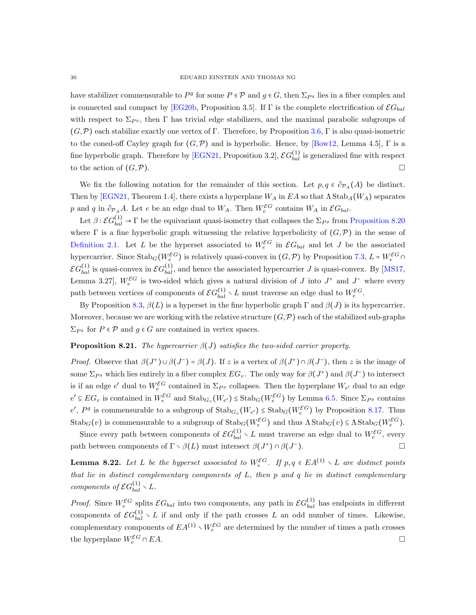have stabilizer commensurable to  $P^g$  for some  $P \in \mathcal{P}$  and  $g \in G$ , then  $\Sigma_{P^g}$  lies in a fiber complex and is connected and compact by [\[EG20b,](#page-33-2) Proposition 3.5]. If  $\Gamma$  is the complete electrification of  $\mathcal{E}G_{bal}$ with respect to  $\Sigma_{P_g}$ , then Γ has trivial edge stabilizers, and the maximal parabolic subgroups of  $(G,\mathcal{P})$  each stabilize exactly one vertex of Γ. Therefore, by Proposition [3.6,](#page-9-3) Γ is also quasi-isometric to the coned-off Cayley graph for  $(G,\mathcal{P})$  and is hyperbolic. Hence, by [\[Bow12,](#page-33-19) Lemma 4.5], Γ is a fine hyperbolic graph. Therefore by [\[EGN21,](#page-33-16) Proposition 3.2],  $\mathcal{E}G_{bal}^{(1)}$  is generalized fine with respect to the action of  $(G,\mathcal{P})$ .

We fix the following notation for the remainder of this section. Let  $p, q \in \partial_{\mathcal{P}_A}(A)$  be distinct. Then by [\[EGN21,](#page-33-16) Theorem 1.4], there exists a hyperplane  $W_A$  in EA so that  $\Lambda$  Stab $_A(W_A)$  separates p and q in  $\partial_{\mathcal{P}_A} A$ . Let e be an edge dual to  $W_A$ . Then  $W_e^{\mathcal{E}G}$  contains  $W_A$  in  $\mathcal{E}G_{bal}$ .

Let  $\beta: \mathcal{E}G_{bal}^{(1)} \to \Gamma$  be the equivariant quasi-isometry that collapses the  $\Sigma_{P_g}$  from [Proposition 8.20](#page-28-0) where  $\Gamma$  is a fine hyperbolic graph witnessing the relative hyperbolicity of  $(G,\mathcal{P})$  in the sense of [Definition 2.1.](#page-3-2) Let L be the hyperset associated to  $W_e^{\mathcal{E}G}$  in  $\mathcal{E}G_{bal}$  and let J be the associated hypercarrier. Since  $\text{Stab}_G(W_e^{\mathcal{E}G})$  is relatively quasi-convex in  $(G, \mathcal{P})$  by Proposition [7.3,](#page-22-1)  $L = W_e^{\mathcal{E}G} \cap$  $\mathcal{E}G_{bal}^{(1)}$  is quasi-convex in  $\mathcal{E}G_{bal}^{(1)}$ , and hence the associated hypercarrier J is quasi-convex. By [\[MS17,](#page-34-0) Lemma 3.27,  $W_e^{\mathcal{E}G}$  is two-sided which gives a natural division of J into  $J^+$  and  $J^-$  where every path between vertices of components of  $\mathcal{E}G_{bal}^{(1)} \setminus L$  must traverse an edge dual to  $W_e^{\mathcal{E}G}$ .

By Proposition [8.3,](#page-23-2)  $\beta(L)$  is a hyperset in the fine hyperbolic graph Γ and  $\beta(J)$  is its hypercarrier. Moreover, because we are working with the relative structure  $(G,\mathcal{P})$  each of the stabilized sub-graphs  $\Sigma_{P^g}$  for  $P \in \mathcal{P}$  and  $g \in G$  are contained in vertex spaces.

#### **Proposition 8.21.** The hypercarrier  $\beta(J)$  satisfies the two-sided carrier property.

*Proof.* Observe that  $\beta(J^+) \cup \beta(J^-) = \beta(J)$ . If z is a vertex of  $\beta(J^+) \cap \beta(J^-)$ , then z is the image of some  $\Sigma_{P^g}$  which lies entirely in a fiber complex  $EG_v$ . The only way for  $\beta(J^+)$  and  $\beta(J^-)$  to intersect is if an edge  $e'$  dual to  $W_e^{\mathcal{E}G}$  contained in  $\Sigma_{P^g}$  collapses. Then the hyperplane  $W_{e'}$  dual to an edge  $e' \in EG_v$  is contained in  $W_e^{\mathcal{E}G}$  and  $\text{Stab}_{G_v}(W_{e'}) \leq \text{Stab}_G(W_e^{\mathcal{E}G})$  by Lemma [6.5.](#page-20-0) Since  $\Sigma_{P^g}$  contains  $e', P^g$  is commensurable to a subgroup of  $\text{Stab}_{G_v}(W_{e'}) \leq \text{Stab}_G(W_e^{\mathcal{EG}})$  by Proposition [8.17.](#page-27-2) Thus  $\text{Stab}_G(v)$  is commensurable to a subgroup of  $\text{Stab}_G(W_e^{\mathcal{EG}})$  and thus  $\Lambda \text{Stab}_G(v) \subseteq \Lambda \text{Stab}_G(W_e^{\mathcal{EG}})$ .

Since every path between components of  $\mathcal{E}G_{bal}^{(1)} \setminus L$  must traverse an edge dual to  $W_e^{\mathcal{E}G}$ , every path between components of  $\Gamma \setminus \beta(L)$  must intersect  $\beta(J^+) \cap \beta(J^-)$ ).  $\qquad \qquad \Box$ 

**Lemma 8.22.** Let L be the hyperset associated to  $W_e^{\mathcal{E}G}$ . If  $p, q \in EA^{(1)} \setminus L$  are distinct points that lie in distinct complementary components of  $L$ , then  $p$  and  $q$  lie in distinct complementary components of  $\mathcal{E}G_{bal}^{(1)} \setminus L$ .

<span id="page-29-0"></span>*Proof.* Since  $W_e^{\mathcal{E}G}$  splits  $\mathcal{E}G_{bal}$  into two components, any path in  $\mathcal{E}G_{bal}^{(1)}$  has endpoints in different components of  $\mathcal{E}G_{bal}^{(1)} \setminus L$  if and only if the path crosses L an odd number of times. Likewise, complementary components of  $EA^{(1)} \setminus W_e^{\mathcal{E}G}$  are determined by the number of times a path crosses the hyperplane  $W_e^{\mathcal{E}G} \cap EA$ .  $e^{\mathcal{E}G} \cap EA.$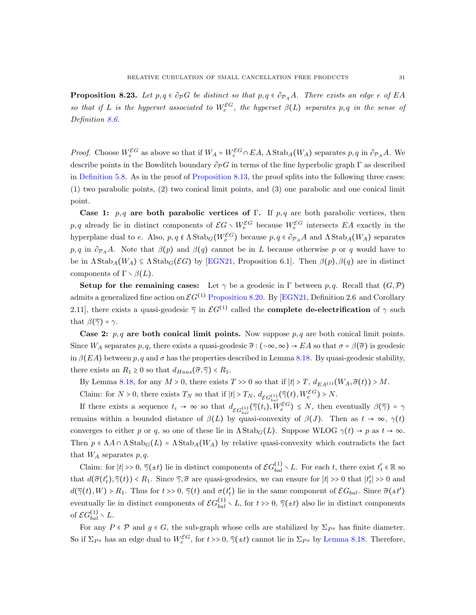**Proposition 8.23.** Let  $p, q \in \partial_P G$  be distinct so that  $p, q \in \partial_{P_A} A$ . There exists an edge e of EA so that if L is the hyperset associated to  $W_e^{\mathcal{E}G}$ , the hyperset  $\beta(L)$  separates p, q in the sense of Definition [8.6.](#page-23-1)

*Proof.* Choose  $W_e^{\mathcal{E}G}$  as above so that if  $W_A = W_e^{\mathcal{E}G} \cap EA$ ,  $\Lambda$  Stab<sub>A</sub>( $W_A$ ) separates  $p, q$  in  $\partial_{\mathcal{P}_A}A$ . We describe points in the Bowditch boundary  $\partial_{\mathcal{P}}G$  in terms of the fine hyperbolic graph  $\Gamma$  as described in [Definition 5.8.](#page-17-1) As in the proof of [Proposition 8.13,](#page-26-0) the proof splits into the following three cases: (1) two parabolic points, (2) two conical limit points, and (3) one parabolic and one conical limit point.

Case 1:  $p, q$  are both parabolic vertices of Γ. If p, q are both parabolic vertices, then p, q already lie in distinct components of  $\mathcal{E}G \setminus W_e^{\mathcal{E}G}$  because  $W_e^{\mathcal{E}G}$  intersects EA exactly in the hyperplane dual to e. Also,  $p, q \notin \Lambda \text{Stab}_G(W_e^{\mathcal{E}G})$  because  $p, q \in \partial_{\mathcal{P}_A}A$  and  $\Lambda \text{Stab}_A(W_A)$  separates p, q in  $\partial_{\mathcal{P}_A} A$ . Note that  $\beta(p)$  and  $\beta(q)$  cannot be in L because otherwise p or q would have to be in  $\Lambda$ Stab<sub>A</sub>( $W_A$ )  $\subseteq$   $\Lambda$ Stab<sub>G</sub>( $\mathcal{E}G$ ) by [\[EGN21,](#page-33-16) Proposition 6.1]. Then  $\beta(p)$ ,  $\beta(q)$  are in distinct components of  $\Gamma \setminus \beta(L)$ .

Setup for the remaining cases: Let  $\gamma$  be a geodesic in Γ between p,q. Recall that  $(G,\mathcal{P})$ admits a generalized fine action on  $\mathcal{E}G^{(1)}$  [Proposition 8.20.](#page-28-0) By [\[EGN21,](#page-33-16) Definition 2.6 and Corollary 2.11], there exists a quasi-geodesic  $\hat{\gamma}$  in  $\mathcal{E}G^{(1)}$  called the **complete de-electrification** of  $\gamma$  such that  $\beta(\widehat{\gamma}) = \gamma$ .

Case 2:  $p, q$  are both conical limit points. Now suppose  $p, q$  are both conical limit points. Since  $W_A$  separates p, q, there exists a quasi-geodesic  $\hat{\sigma}$  :  $(-\infty, \infty) \to EA$  so that  $\sigma = \beta(\hat{\sigma})$  is geodesic in  $\beta$ (EA) between p, q and  $\sigma$  has the properties described in Lemma [8.18.](#page-28-1) By quasi-geodesic stability, there exists an  $R_1 \geq 0$  so that  $d_{Haus}(\widehat{\sigma}, \widehat{\gamma}) < R_1$ .

By Lemma [8.18,](#page-28-1) for any  $M > 0$ , there exists  $T >> 0$  so that if  $|t| > T$ ,  $d_{EA^{(1)}}(W_A, \hat{\sigma}(t)) > M$ .

Claim: for  $N > 0$ , there exists  $T_N$  so that if  $|t| > T_N$ ,  $d_{\mathcal{E}G_{hol}^{(1)}}(\tilde{\gamma}(t), W_e^{\mathcal{E}G}) > N$ .

If there exists a sequence  $t_i \to \infty$  so that  $d_{\mathcal{E}G_{bal}}(\widehat{\gamma}(t_i), W_e^{\mathcal{E}G}) \leq N$ , then eventually  $\beta(\widehat{\gamma}) = \gamma$ remains within a bounded distance of  $\beta(L)$  by quasi-convexity of  $\beta(J)$ . Then as  $t \to \infty$ ,  $\gamma(t)$ converges to either p or q, so one of these lie in  $\Lambda$ Stab<sub>G</sub>(L). Suppose WLOG  $\gamma(t) \to p$  as  $t \to \infty$ . Then  $p \in \Lambda A \cap \Lambda$  Stab $_G(L) = \Lambda$  Stab $_A(W_A)$  by relative quasi-convexity which contradicts the fact that  $W_A$  separates  $p, q$ .

Claim: for  $|t| \gg 0$ ,  $\hat{\gamma}(\pm t)$  lie in distinct components of  $\mathcal{E}G_{bal}^{(1)} \setminus L$ . For each t, there exist  $t'_t \in \mathbb{R}$  so that  $d(\hat{\sigma}(t'_t), \hat{\gamma}(t)) < R_1$ . Since  $\hat{\gamma}, \hat{\sigma}$  are quasi-geodesics, we can ensure for  $|t| >> 0$  that  $|t'_t| >> 0$  and  $d(\hat{\gamma}(t), W) > R_1$ . Thus for  $t \gg 0$ ,  $\hat{\gamma}(t)$  and  $\sigma(t'_t)$  lie in the same component of  $\mathcal{E}G_{bal}$ . Since  $\hat{\sigma}(\pm t')$ eventually lie in distinct components of  $\mathcal{E}G_{bal}^{(1)} \setminus L$ , for  $t \gg 0$ ,  $\hat{\gamma}(\pm t)$  also lie in distinct components of  $\mathcal{E} G_{bal}^{(1)} \setminus L$ .

For any  $P \in \mathcal{P}$  and  $g \in G$ , the sub-graph whose cells are stabilized by  $\Sigma_{P^g}$  has finite diameter. So if  $\Sigma_{P^g}$  has an edge dual to  $W_e^{\mathcal{E}G}$ , for  $t >> 0$ ,  $\hat{\gamma}(\pm t)$  cannot lie in  $\Sigma_{P^g}$  by [Lemma 8.18.](#page-28-1) Therefore,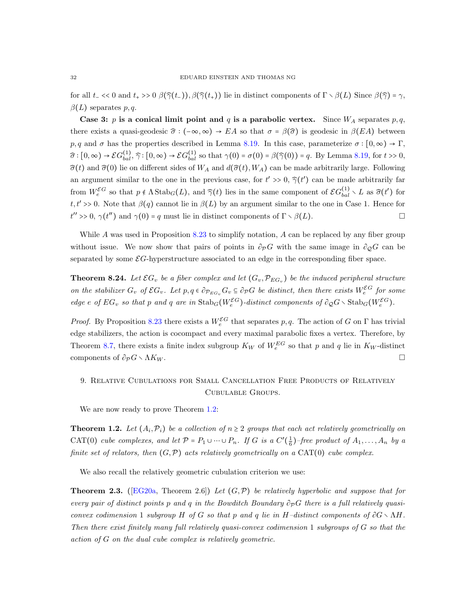for all  $t_$  << 0 and  $t_+$  >> 0  $\beta(\hat{\gamma}(t_+)), \beta(\hat{\gamma}(t_+))$  lie in distinct components of  $\Gamma \setminus \beta(L)$  Since  $\beta(\hat{\gamma}) = \gamma$ ,  $\beta(L)$  separates p, q.

Case 3: p is a conical limit point and q is a parabolic vertex. Since  $W_A$  separates  $p, q$ , there exists a quasi-geodesic  $\hat{\sigma}$  :  $(-\infty,\infty)$  → EA so that  $\sigma = \beta(\hat{\sigma})$  is geodesic in  $\beta(EA)$  between p, q and  $\sigma$  has the properties described in Lemma [8.19.](#page-28-2) In this case, parameterize  $\sigma : [0, \infty) \to \Gamma$ ,  $\widehat{\sigma}: [0, \infty) \to \mathcal{E}G_{bal}^{(1)}, \widehat{\gamma}: [0, \infty) \to \mathcal{E}G_{bal}^{(1)}$  so that  $\gamma(0) = \sigma(0) = \beta(\widehat{\gamma}(0)) = q$ . By Lemma [8.19,](#page-28-2) for  $t > 0$ ,  $\hat{\sigma}(t)$  and  $\hat{\sigma}(0)$  lie on different sides of  $W_A$  and  $d(\hat{\sigma}(t), W_A)$  can be made arbitrarily large. Following an argument similar to the one in the previous case, for  $t' \gg 0$ ,  $\hat{\gamma}(t')$  can be made arbitrarily far from  $W_e^{\mathcal{E}G}$  so that  $p \notin \Lambda \text{Stab}_G(L)$ , and  $\widehat{\gamma}(t)$  lies in the same component of  $\mathcal{E}G_{bal}^{(1)} \setminus L$  as  $\widehat{\sigma}(t')$  for  $t, t' >> 0$ . Note that  $\beta(q)$  cannot lie in  $\beta(L)$  by an argument similar to the one in Case 1. Hence for  $t'' \gg 0$ ,  $\gamma(t'')$  and  $\gamma(0) = q$  must lie in distinct components of  $\Gamma \setminus \beta(L)$ .

While A was used in Proposition [8.23](#page-29-0) to simplify notation, A can be replaced by any fiber group without issue. We now show that pairs of points in  $\partial_{\mathcal{P}}G$  with the same image in  $\partial_{\mathcal{Q}}G$  can be separated by some  $\mathcal{E}G$ -hyperstructure associated to an edge in the corresponding fiber space.

<span id="page-31-0"></span>**Theorem 8.24.** Let  $\mathcal{E}G_v$  be a fiber complex and let  $(G_v, \mathcal{P}_{EG_v})$  be the induced peripheral structure on the stabilizer  $G_v$  of  $\mathcal{E}G_v$ . Let  $p, q \in \partial_{\mathcal{P}_{EG_v}} G_v \subseteq \partial_{\mathcal{P}}G$  be distinct, then there exists  $W_e^{\mathcal{E}G}$  for some edge e of  $EG_v$  so that p and q are in  $\text{Stab}_G(W_e^{\mathcal{E}G})$ -distinct components of  $\partial_{\mathcal{Q}}G \setminus \text{Stab}_G(W_e^{\mathcal{E}G})$ .

*Proof.* By Proposition [8.23](#page-29-0) there exists a  $W_e^{\mathcal{E}G}$  that separates p, q. The action of G on  $\Gamma$  has trivial edge stabilizers, the action is cocompact and every maximal parabolic fixes a vertex. Therefore, by Theorem [8.7,](#page-24-1) there exists a finite index subgroup  $K_W$  of  $W_e^{EG}$  so that p and q lie in  $K_W$ -distinct components of  $\partial_{\mathcal{P}} G \setminus \Lambda K_W$ .

# 9. Relative Cubulations for Small Cancellation Free Products of Relatively Cubulable Groups.

We are now ready to prove Theorem [1.2:](#page-0-1)

**Theorem 1.2.** Let  $(A_i, \mathcal{P}_i)$  be a collection of  $n \geq 2$  groups that each act relatively geometrically on CAT(0) cube complexes, and let  $\mathcal{P} = P_1 \cup \cdots \cup P_n$ . If G is a  $C'(\frac{1}{6})$ -free product of  $A_1, \ldots, A_n$  by a finite set of relators, then  $(G, \mathcal{P})$  acts relatively geometrically on a CAT(0) cube complex.

We also recall the relatively geometric cubulation criterion we use:

**Theorem 2.3.** ([\[EG20a,](#page-33-1) Theorem 2.6]) Let  $(G,\mathcal{P})$  be relatively hyperbolic and suppose that for every pair of distinct points p and q in the Bowditch Boundary  $\partial_{\mathcal{P}}G$  there is a full relatively quasiconvex codimension 1 subgroup H of G so that p and q lie in H–distinct components of  $\partial G \setminus \Lambda H$ . Then there exist finitely many full relatively quasi-convex codimension 1 subgroups of G so that the action of G on the dual cube complex is relatively geometric.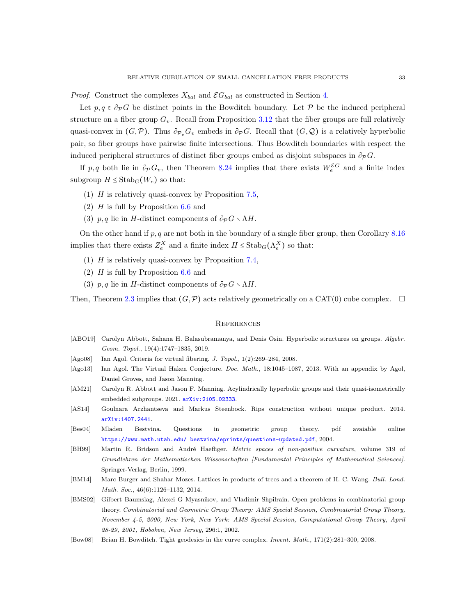*Proof.* Construct the complexes  $X_{bal}$  and  $\mathcal{E}G_{bal}$  as constructed in Section [4.](#page-12-0)

Let  $p, q \in \partial_{\mathcal{P}}G$  be distinct points in the Bowditch boundary. Let P be the induced peripheral structure on a fiber group  $G_v$ . Recall from Proposition [3.12](#page-11-1) that the fiber groups are full relatively quasi-convex in  $(G,\mathcal{P})$ . Thus  $\partial_{\mathcal{P}_v}G_v$  embeds in  $\partial_{\mathcal{P}}G$ . Recall that  $(G,\mathcal{Q})$  is a relatively hyperbolic pair, so fiber groups have pairwise finite intersections. Thus Bowditch boundaries with respect the induced peripheral structures of distinct fiber groups embed as disjoint subspaces in  $\partial_{\mathcal{P}}G$ .

If p, q both lie in  $\partial_{\mathcal{P}} G_v$ , then Theorem [8.24](#page-31-0) implies that there exists  $W_e^{\mathcal{E}G}$  and a finite index subgroup  $H \leq \text{Stab}_G(W_e)$  so that:

- (1)  $H$  is relatively quasi-convex by Proposition [7.5,](#page-22-2)
- (2)  $H$  is full by Proposition [6.6](#page-20-1) and
- (3)  $p, q$  lie in H-distinct components of  $\partial_{\mathcal{P}} G \setminus \Lambda H$ .

On the other hand if  $p, q$  are not both in the boundary of a single fiber group, then Corollary [8.16](#page-27-1) implies that there exists  $Z_e^X$  and a finite index  $H \leq \text{Stab}_G(\Lambda_e^X)$  so that:

- (1) H is relatively quasi-convex by Proposition [7.4,](#page-22-3)
- (2)  $H$  is full by Proposition [6.6](#page-20-1) and
- (3)  $p, q$  lie in H-distinct components of  $\partial_{\mathcal{P}} G \setminus \Lambda H$ .

Then, Theorem [2.3](#page-4-1) implies that  $(G, \mathcal{P})$  acts relatively geometrically on a CAT(0) cube complex.  $\Box$ 

#### **REFERENCES**

- <span id="page-32-9"></span>[ABO19] Carolyn Abbott, Sahana H. Balasubramanya, and Denis Osin. Hyperbolic structures on groups. Algebr. Geom. Topol., 19(4):1747–1835, 2019.
- <span id="page-32-4"></span>[Ago08] Ian Agol. Criteria for virtual fibering. J. Topol., 1(2):269-284, 2008.
- <span id="page-32-2"></span>[Ago13] Ian Agol. The Virtual Haken Conjecture. Doc. Math., 18:1045-1087, 2013. With an appendix by Agol, Daniel Groves, and Jason Manning.
- <span id="page-32-8"></span>[AM21] Carolyn R. Abbott and Jason F. Manning. Acylindrically hyperbolic groups and their quasi-isometrically embedded subgroups.  $2021.$   $arXiv:2105.02333$ .
- <span id="page-32-3"></span>[AS14] Goulnara Arzhantseva and Markus Steenbock. Rips construction without unique product. 2014. [arXiv:1407.2441](http://arxiv.org/abs/1407.2441).
- <span id="page-32-1"></span>[Bes04] Mladen Bestvina. Questions in geometric group theory. pdf avaiable online [https://www.math.utah.edu/ bestvina/eprints/questions-updated.pdf](https://www.math.utah.edu/~bestvina/eprints/questions-updated.pdf), 2004.
- <span id="page-32-6"></span>[BH99] Martin R. Bridson and André Haefliger. Metric spaces of non-positive curvature, volume 319 of Grundlehren der Mathematischen Wissenschaften [Fundamental Principles of Mathematical Sciences]. Springer-Verlag, Berlin, 1999.
- <span id="page-32-5"></span>[BM14] Marc Burger and Shahar Mozes. Lattices in products of trees and a theorem of H. C. Wang. Bull. Lond. Math. Soc., 46(6):1126–1132, 2014.
- <span id="page-32-0"></span>[BMS02] Gilbert Baumslag, Alexei G Myasnikov, and Vladimir Shpilrain. Open problems in combinatorial group theory. Combinatorial and Geometric Group Theory: AMS Special Session, Combinatorial Group Theory, November 4-5, 2000, New York, New York: AMS Special Session, Computational Group Theory, April 28-29, 2001, Hoboken, New Jersey, 296:1, 2002.
- <span id="page-32-7"></span>[Bow08] Brian H. Bowditch. Tight geodesics in the curve complex. *Invent. Math.*, 171(2):281–300, 2008.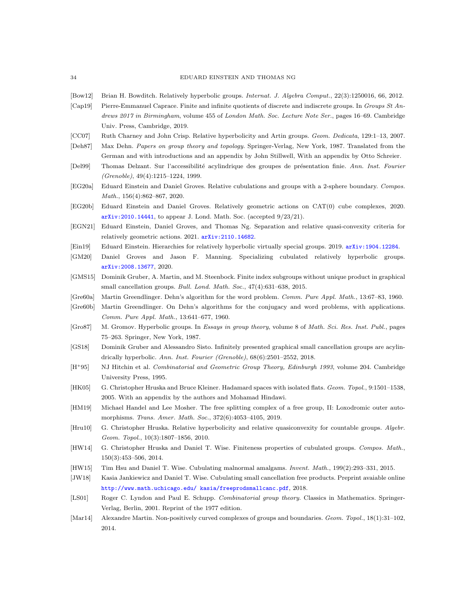#### 34 EDUARD EINSTEIN AND THOMAS NG

- <span id="page-33-19"></span><span id="page-33-13"></span>[Bow12] Brian H. Bowditch. Relatively hyperbolic groups. Internat. J. Algebra Comput., 22(3):1250016, 66, 2012.
- [Cap19] Pierre-Emmanuel Caprace. Finite and infinite quotients of discrete and indiscrete groups. In Groups St Andrews 2017 in Birmingham, volume 455 of London Math. Soc. Lecture Note Ser., pages 16-69. Cambridge Univ. Press, Cambridge, 2019.
- <span id="page-33-21"></span>[CC07] Ruth Charney and John Crisp. Relative hyperbolicity and Artin groups. Geom. Dedicata, 129:1–13, 2007.
- <span id="page-33-4"></span>[Deh87] Max Dehn. Papers on group theory and topology. Springer-Verlag, New York, 1987. Translated from the German and with introductions and an appendix by John Stillwell, With an appendix by Otto Schreier.
- <span id="page-33-22"></span>[Del99] Thomas Delzant. Sur l'accessibilité acylindrique des groupes de présentation finie. Ann. Inst. Fourier (Grenoble), 49(4):1215–1224, 1999.
- <span id="page-33-1"></span>[EG20a] Eduard Einstein and Daniel Groves. Relative cubulations and groups with a 2-sphere boundary. Compos. Math., 156(4):862–867, 2020.
- <span id="page-33-2"></span>[EG20b] Eduard Einstein and Daniel Groves. Relatively geometric actions on CAT(0) cube complexes, 2020. [arXiv:2010.14441](http://arxiv.org/abs/2010.14441), to appear J. Lond. Math. Soc. (accepted 9/23/21).
- <span id="page-33-16"></span>[EGN21] Eduard Einstein, Daniel Groves, and Thomas Ng. Separation and relative quasi-convexity criteria for relatively geometric actions. 2021. arXiv: 2110.14682.
- <span id="page-33-10"></span><span id="page-33-3"></span>[Ein19] Eduard Einstein. Hierarchies for relatively hyperbolic virtually special groups. 2019. [arXiv:1904.12284](http://arxiv.org/abs/1903.12284).
- [GM20] Daniel Groves and Jason F. Manning. Specializing cubulated relatively hyperbolic groups. [arXiv:2008.13677](https://arxiv.org/abs/2008.13677), 2020.
- <span id="page-33-8"></span>[GMS15] Dominik Gruber, A. Martin, and M. Steenbock. Finite index subgroups without unique product in graphical small cancellation groups. Bull. Lond. Math. Soc., 47(4):631-638, 2015.
- <span id="page-33-6"></span><span id="page-33-5"></span>[Gre60a] Martin Greendlinger. Dehn's algorithm for the word problem. Comm. Pure Appl. Math., 13:67–83, 1960.
- [Gre60b] Martin Greendlinger. On Dehn's algorithms for the conjugacy and word problems, with applications. Comm. Pure Appl. Math., 13:641–677, 1960.
- <span id="page-33-17"></span>[Gro87] M. Gromov. Hyperbolic groups. In Essays in group theory, volume 8 of Math. Sci. Res. Inst. Publ., pages 75–263. Springer, New York, 1987.
- <span id="page-33-9"></span>[GS18] Dominik Gruber and Alessandro Sisto. Infinitely presented graphical small cancellation groups are acylindrically hyperbolic. Ann. Inst. Fourier (Grenoble),  $68(6):2501-2552$ , 2018.
- <span id="page-33-0"></span>[H<sup>+95]</sup> NJ Hitchin et al. Combinatorial and Geometric Group Theory, Edinburgh 1993, volume 204. Cambridge University Press, 1995.
- <span id="page-33-20"></span>[HK05] G. Christopher Hruska and Bruce Kleiner. Hadamard spaces with isolated flats. Geom. Topol., 9:1501–1538, 2005. With an appendix by the authors and Mohamad Hindawi.
- <span id="page-33-23"></span>[HM19] Michael Handel and Lee Mosher. The free splitting complex of a free group, II: Loxodromic outer automorphisms. Trans. Amer. Math. Soc., 372(6):4053–4105, 2019.
- <span id="page-33-18"></span>[Hru10] G. Christopher Hruska. Relative hyperbolicity and relative quasiconvexity for countable groups. Algebr. Geom. Topol., 10(3):1807–1856, 2010.
- <span id="page-33-11"></span>[HW14] G. Christopher Hruska and Daniel T. Wise. Finiteness properties of cubulated groups. Compos. Math., 150(3):453–506, 2014.
- <span id="page-33-14"></span><span id="page-33-12"></span>[HW15] Tim Hsu and Daniel T. Wise. Cubulating malnormal amalgams. Invent. Math., 199(2):293–331, 2015.
- [JW18] Kasia Jankiewicz and Daniel T. Wise. Cubulating small cancellation free products. Preprint avaiable online [http://www.math.uchicago.edu/ kasia/freeprodsmallcanc.pdf](http://www.math.uchicago.edu/~kasia/freeprodsmallcanc.pdf), 2018.
- <span id="page-33-7"></span>[LS01] Roger C. Lyndon and Paul E. Schupp. *Combinatorial group theory*. Classics in Mathematics. Springer-Verlag, Berlin, 2001. Reprint of the 1977 edition.
- <span id="page-33-15"></span>[Mar14] Alexandre Martin. Non-positively curved complexes of groups and boundaries. Geom. Topol., 18(1):31–102, 2014.